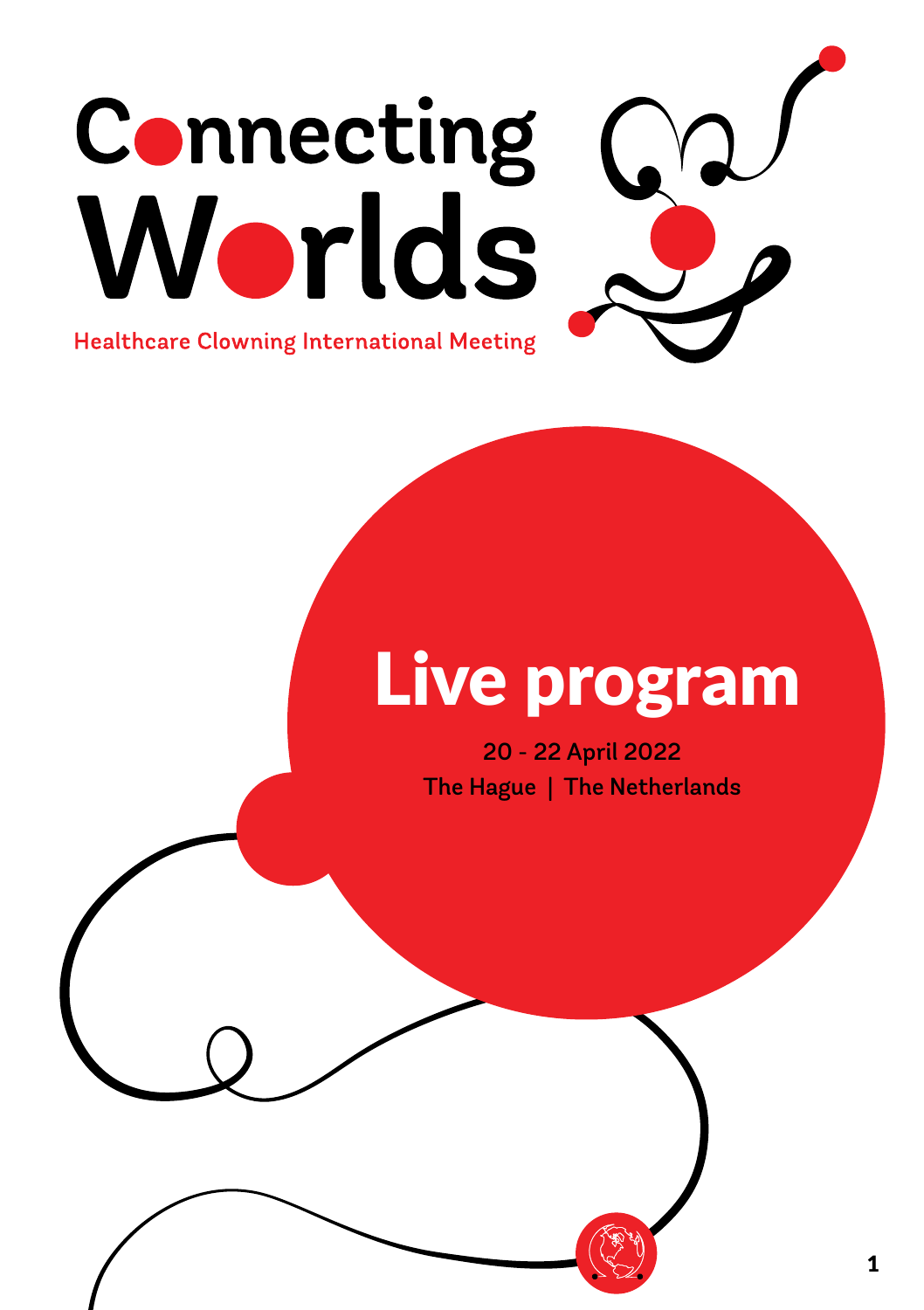# Connecting Worlds

**Healthcare Clowning International Meeting** 

# Live program

20 - 22 April 2022 The Hague | The Netherlands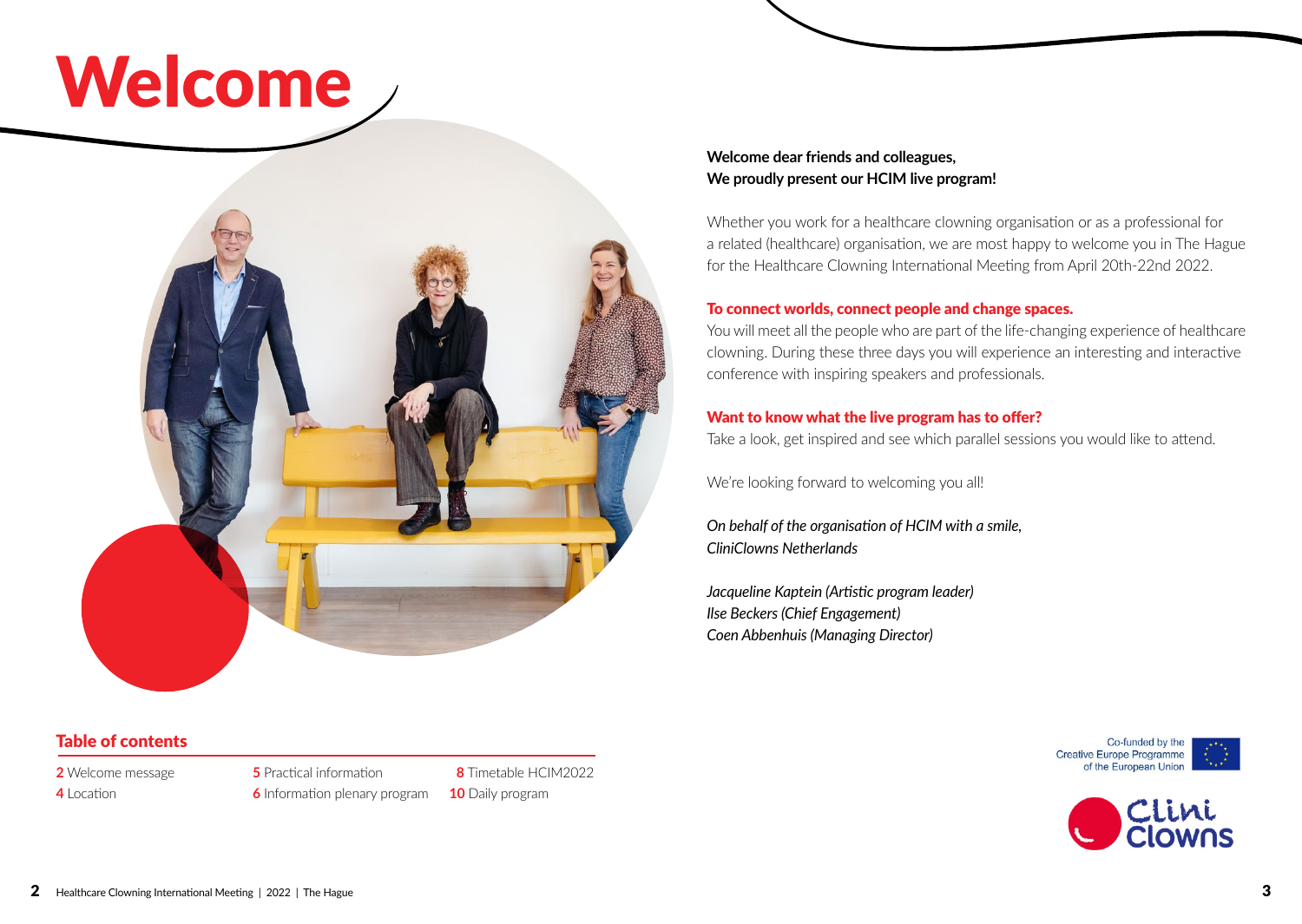# Welcome



**Welcome dear friends and colleagues, We proudly present our HCIM live program!** 

Whether you work for a healthcare clowning organisation or as a professional for a related (healthcare) organisation, we are most happy to welcome you in The Hague for the Healthcare Clowning International Meeting from April 20th-22nd 2022.

#### To connect worlds, connect people and change spaces.

You will meet all the people who are part of the life-changing experience of healthcare clowning. During these three days you will experience an interesting and interactive conference with inspiring speakers and professionals.

#### Want to know what the live program has to offer?

Take a look, get inspired and see which parallel sessions you would like to attend.

We're looking forward to welcoming you all!

*On behalf of the organisation of HCIM with a smile, CliniClowns Netherlands* 

*Jacqueline Kaptein (Artistic program leader) Ilse Beckers (Chief Engagement) Coen Abbenhuis (Managing Director)*





### Table of contents

**2** Welcome message

**4** Location

**5** Practical information **6** Information plenary program

 **8** Timetable HCIM2022 **10** Daily program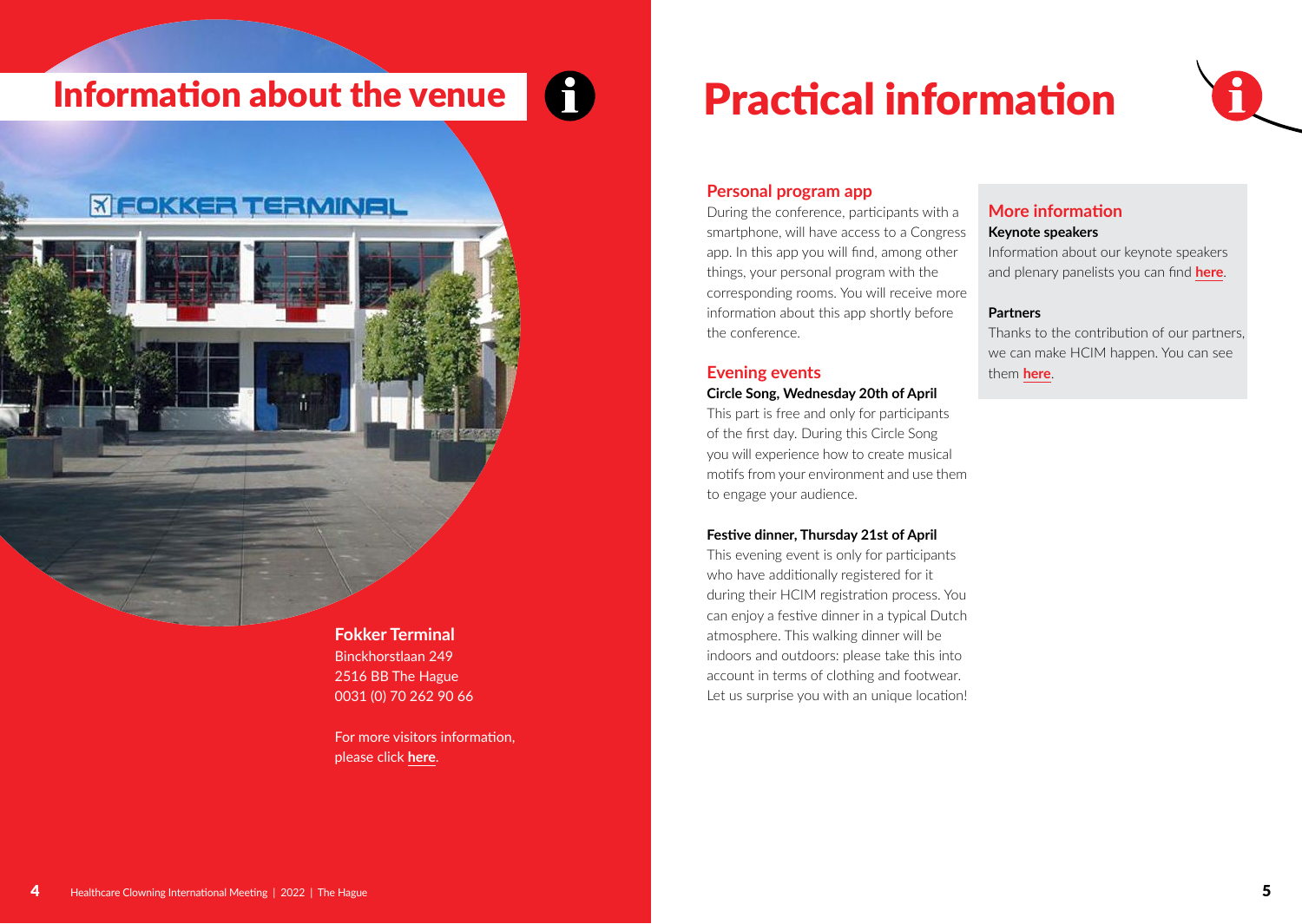# Information about the venue Practical information

## *X FOKKER TERMINAL*

**Fokker Terminal** Binckhorstlaan 249 2516 BB The Hague 0031 (0) 70 262 90 66

For more visitors information, please click **[here](https://fokkerterminal.nl/en/contact/visitors-information/)**.



#### **Personal program app**

During the conference, participants with a smartphone, will have access to a Congress app. In this app you will find, among other things, your personal program with the corresponding rooms. You will receive more information about this app shortly before the conference.

### **Evening events**

#### **Circle Song, Wednesday 20th of April**

This part is free and only for participants of the first day. During this Circle Song you will experience how to create musical motifs from your environment and use them to engage your audience.

#### **Festive dinner, Thursday 21st of April**

This evening event is only for participants who have additionally registered for it during their HCIM registration process. You can enjoy a festive dinner in a typical Dutch atmosphere. This walking dinner will be indoors and outdoors: please take this into account in terms of clothing and footwear. Let us surprise you with an unique location!

## **More information**

#### **Keynote speakers**

Information about our keynote speakers and plenary panelists you can find **[here](https://www.hcim2021.com/keynote-speakers.html)**.

#### **Partners**

Thanks to the contribution of our partners, we can make HCIM happen. You can see them **here**.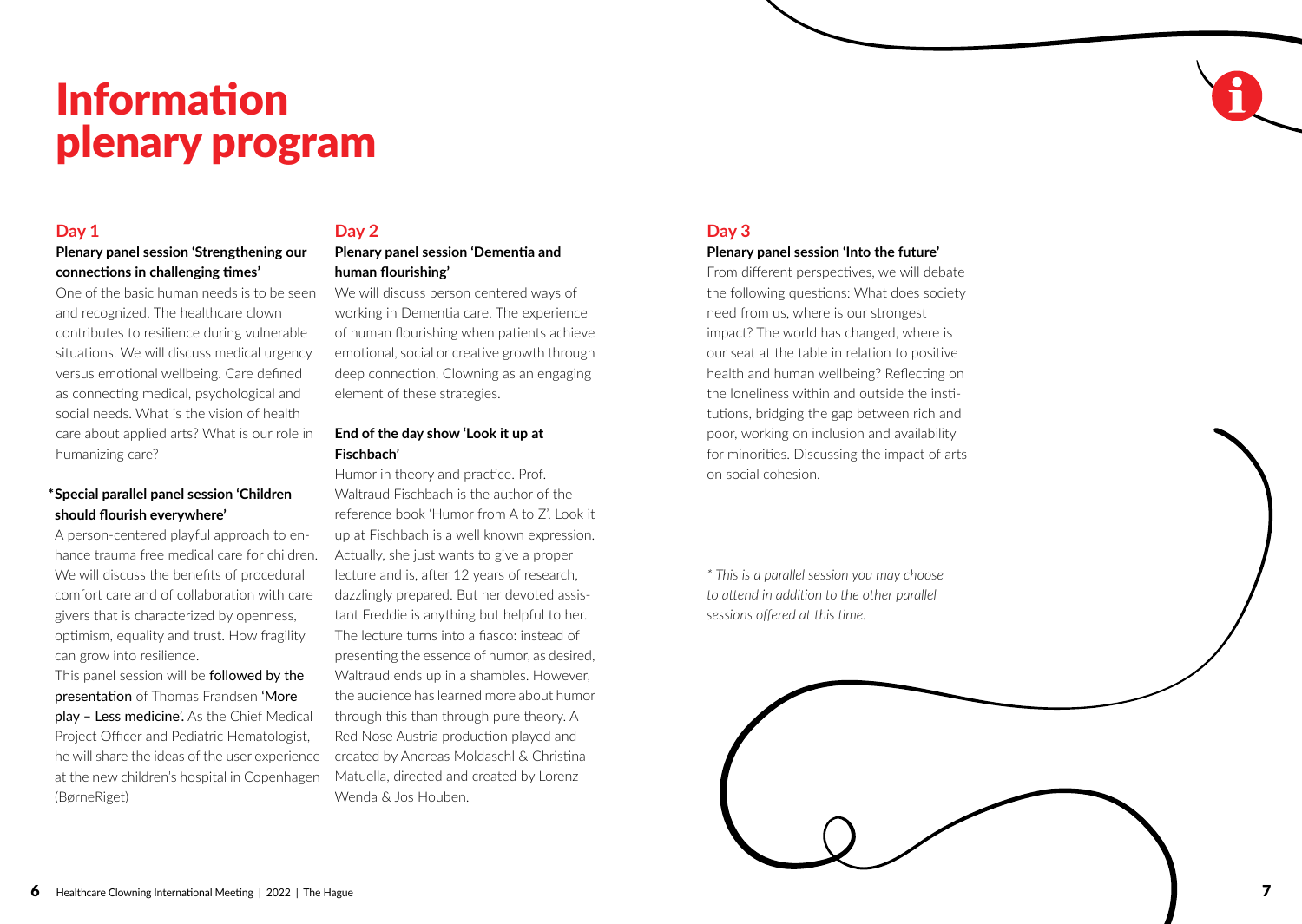# Information plenary program

#### **Day 1**

#### **Plenary panel session 'Strengthening our connections in challenging times'**

One of the basic human needs is to be seen and recognized. The healthcare clown contributes to resilience during vulnerable situations. We will discuss medical urgency versus emotional wellbeing. Care defined as connecting medical, psychological and social needs. What is the vision of health care about applied arts? What is our role in humanizing care?

#### **\*Special parallel panel session 'Children should flourish everywhere'**

A person-centered playful approach to enhance trauma free medical care for children. We will discuss the benefits of procedural comfort care and of collaboration with care givers that is characterized by openness, optimism, equality and trust. How fragility can grow into resilience.

This panel session will be **followed by the** presentation of Thomas Frandsen 'More play – Less medicine'. As the Chief Medical Project Officer and Pediatric Hematologist, he will share the ideas of the user experience at the new children's hospital in Copenhagen (BørneRiget)

## **Day 2**

#### **Plenary panel session 'Dementia and human flourishing'**

We will discuss person centered ways of working in Dementia care. The experience of human flourishing when patients achieve emotional, social or creative growth through deep connection, Clowning as an engaging element of these strategies.

#### **End of the day show 'Look it up at Fischbach'**

Humor in theory and practice. Prof. Waltraud Fischbach is the author of the reference book 'Humor from A to Z'. Look it up at Fischbach is a well known expression. Actually, she just wants to give a proper lecture and is, after 12 years of research, dazzlingly prepared. But her devoted assistant Freddie is anything but helpful to her. The lecture turns into a fiasco: instead of presenting the essence of humor, as desired, Waltraud ends up in a shambles. However, the audience has learned more about humor through this than through pure theory. A Red Nose Austria production played and created by Andreas Moldaschl & Christina Matuella, directed and created by Lorenz Wenda & Jos Houben.

### **Day 3**

#### **Plenary panel session 'Into the future'**

From different perspectives, we will debate the following questions: What does society need from us, where is our strongest impact? The world has changed, where is our seat at the table in relation to positive health and human wellbeing? Reflecting on the loneliness within and outside the institutions, bridging the gap between rich and poor, working on inclusion and availability for minorities. Discussing the impact of arts on social cohesion.

*\* This is a parallel session you may choose to attend in addition to the other parallel sessions offered at this time.*

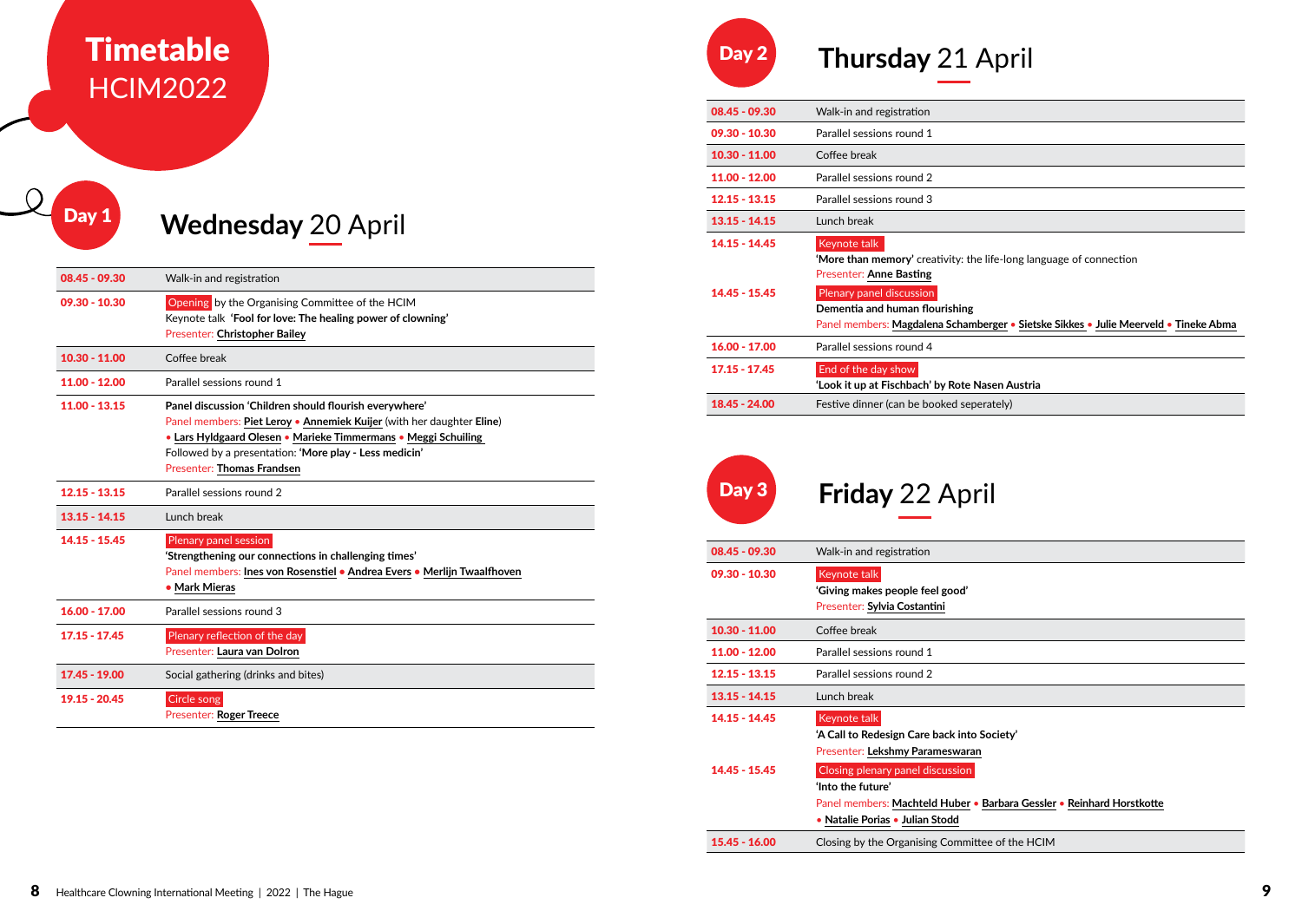## Timetable HCIM2022

# **Day 1** Wednesday 20 April

| $08.45 - 09.30$ | Walk-in and registration                                                                                                                                                                                                                                                                         |
|-----------------|--------------------------------------------------------------------------------------------------------------------------------------------------------------------------------------------------------------------------------------------------------------------------------------------------|
| $09.30 - 10.30$ | <b>Opening</b> by the Organising Committee of the HCIM<br>Keynote talk 'Fool for love: The healing power of clowning'<br><b>Presenter: Christopher Bailey</b>                                                                                                                                    |
| $10.30 - 11.00$ | Coffee break                                                                                                                                                                                                                                                                                     |
| 11.00 - 12.00   | Parallel sessions round 1                                                                                                                                                                                                                                                                        |
| $11.00 - 13.15$ | Panel discussion 'Children should flourish everywhere'<br>Panel members: Piet Leroy • Annemiek Kuijer (with her daughter Eline)<br>• Lars Hyldgaard Olesen • Marieke Timmermans • Meggi Schuiling<br>Followed by a presentation: 'More play - Less medicin'<br><b>Presenter: Thomas Frandsen</b> |
| $12.15 - 13.15$ | Parallel sessions round 2                                                                                                                                                                                                                                                                        |
| $13.15 - 14.15$ | Lunch break                                                                                                                                                                                                                                                                                      |
| $14.15 - 15.45$ | Plenary panel session<br>'Strengthening our connections in challenging times'<br>Panel members: Ines von Rosenstiel · Andrea Evers · Merlijn Twaalfhoven<br>• Mark Mieras                                                                                                                        |
| $16.00 - 17.00$ | Parallel sessions round 3                                                                                                                                                                                                                                                                        |
| $17.15 - 17.45$ | Plenary reflection of the day<br>Presenter: Laura van Dolron                                                                                                                                                                                                                                     |
| 17.45 - 19.00   | Social gathering (drinks and bites)                                                                                                                                                                                                                                                              |
| 19.15 - 20.45   | Circle song<br><b>Presenter: Roger Treece</b>                                                                                                                                                                                                                                                    |



| $08.45 - 09.30$                  | Walk-in and registration                                                                                                                                                                                                                                                    |
|----------------------------------|-----------------------------------------------------------------------------------------------------------------------------------------------------------------------------------------------------------------------------------------------------------------------------|
| $09.30 - 10.30$                  | Parallel sessions round 1                                                                                                                                                                                                                                                   |
| $10.30 - 11.00$                  | Coffee break                                                                                                                                                                                                                                                                |
| 11.00 - 12.00                    | Parallel sessions round 2                                                                                                                                                                                                                                                   |
| $12.15 - 13.15$                  | Parallel sessions round 3                                                                                                                                                                                                                                                   |
| $13.15 - 14.15$                  | Lunch break                                                                                                                                                                                                                                                                 |
| $14.15 - 14.45$<br>14.45 - 15.45 | Keynote talk<br>'More than memory' creativity: the life-long language of connection<br><b>Presenter: Anne Basting</b><br>Plenary panel discussion<br>Dementia and human flourishing<br>Panel members: Magdalena Schamberger • Sietske Sikkes • Julie Meerveld • Tineke Abma |
| $16.00 - 17.00$                  | Parallel sessions round 4                                                                                                                                                                                                                                                   |
| $17.15 - 17.45$                  | End of the day show<br>'Look it up at Fischbach' by Rote Nasen Austria                                                                                                                                                                                                      |
| 18.45 - 24.00                    | Festive dinner (can be booked seperately)                                                                                                                                                                                                                                   |



```
Day 3 Friday 22 April
```

| $08.45 - 09.30$                    | Walk-in and registration                                                                                                                                                                                                                                            |
|------------------------------------|---------------------------------------------------------------------------------------------------------------------------------------------------------------------------------------------------------------------------------------------------------------------|
| $09.30 - 10.30$                    | Keynote talk<br>'Giving makes people feel good'<br>Presenter: Sylvia Costantini                                                                                                                                                                                     |
| $10.30 - 11.00$                    | Coffee break                                                                                                                                                                                                                                                        |
| $11.00 - 12.00$                    | Parallel sessions round 1                                                                                                                                                                                                                                           |
| $12.15 - 13.15$                    | Parallel sessions round 2                                                                                                                                                                                                                                           |
| $13.15 - 14.15$                    | Lunch break                                                                                                                                                                                                                                                         |
| $14.15 - 14.45$<br>$14.45 - 15.45$ | Keynote talk<br>'A Call to Redesign Care back into Society'<br>Presenter: Lekshmy Parameswaran<br>Closing plenary panel discussion<br>'Into the future'<br>Panel members: Machteld Huber • Barbara Gessler • Reinhard Horstkotte<br>• Natalie Porias • Julian Stodd |
| $15.45 - 16.00$                    | Closing by the Organising Committee of the HCIM                                                                                                                                                                                                                     |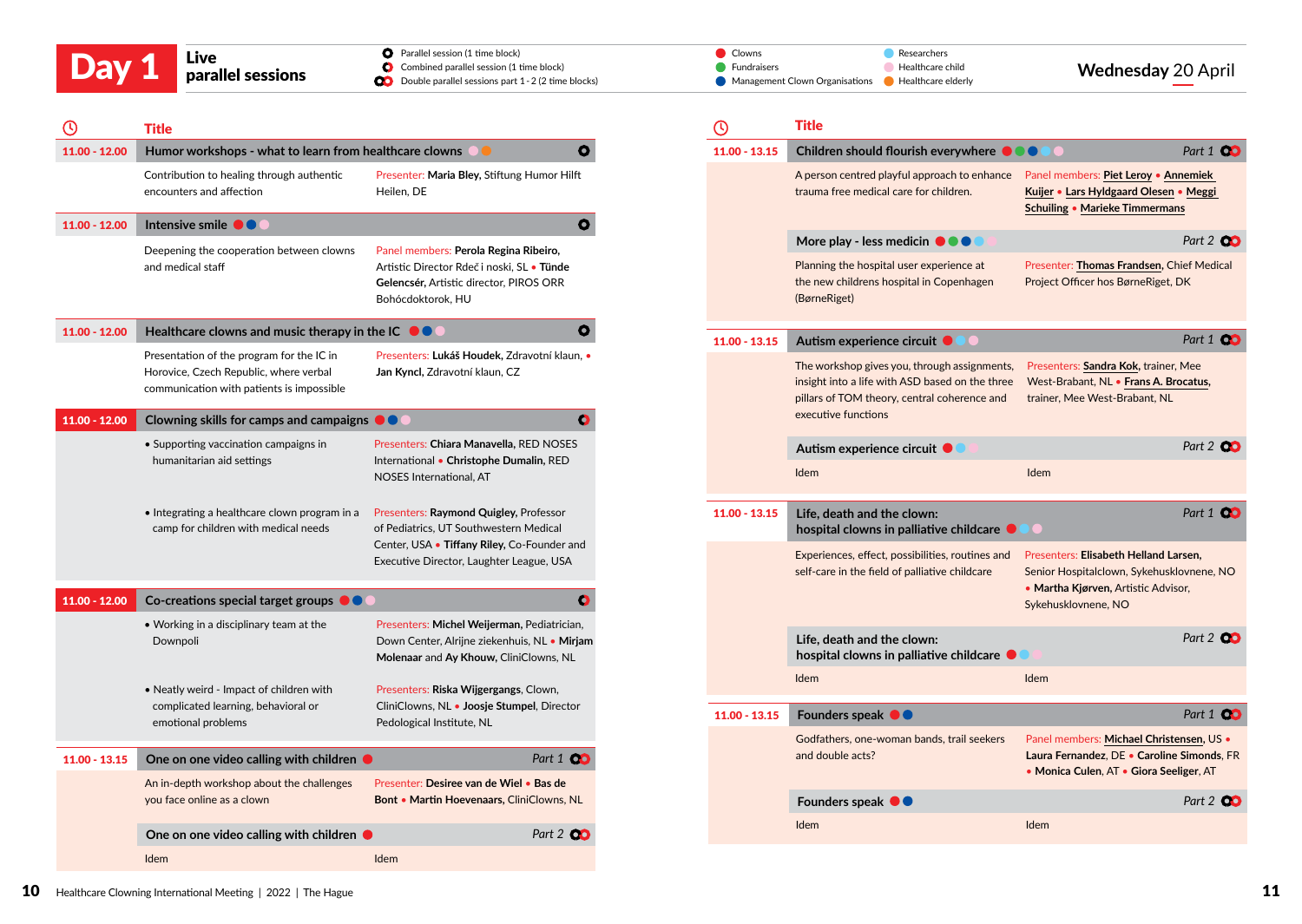| Day 1 | Live<br>parallel sessions | <b>O</b> Parallel session (1 time block)<br>Combined parallel session (1 time block)<br><b>OD</b> Double parallel sessions part 1 - 2 (2 time blocks) | / Clowns<br><b>Fundraisers</b><br>Management Clown Organisations <b>C</b> Healthcare elderly | Researchers<br>Healthcare child | <b>Wednesday 20 April</b> |
|-------|---------------------------|-------------------------------------------------------------------------------------------------------------------------------------------------------|----------------------------------------------------------------------------------------------|---------------------------------|---------------------------|
|       |                           |                                                                                                                                                       |                                                                                              |                                 |                           |

|                 | Title                                                                                                                            |                                                                                                                                                                             |                  |
|-----------------|----------------------------------------------------------------------------------------------------------------------------------|-----------------------------------------------------------------------------------------------------------------------------------------------------------------------------|------------------|
| 11.00 - 12.00   | Humor workshops - what to learn from healthcare clowns<br>О                                                                      |                                                                                                                                                                             |                  |
|                 | Contribution to healing through authentic<br>encounters and affection                                                            | Presenter: Maria Bley, Stiftung Humor Hilft<br>Heilen, DE                                                                                                                   |                  |
| $11.00 - 12.00$ | Intensive smile $\bullet \bullet$                                                                                                |                                                                                                                                                                             | O                |
|                 | Deepening the cooperation between clowns<br>and medical staff                                                                    | Panel members: Perola Regina Ribeiro,<br>Artistic Director Rdeč i noski, SL · Tünde<br>Gelencsér, Artistic director, PIROS ORR<br>Bohócdoktorok, HU                         |                  |
| $11.00 - 12.00$ | Healthcare clowns and music therapy in the IC $\;\;\bullet\;\;\bullet\;\;\bullet\;\;$                                            |                                                                                                                                                                             | O                |
|                 | Presentation of the program for the IC in<br>Horovice, Czech Republic, where verbal<br>communication with patients is impossible | Presenters: Lukáš Houdek, Zdravotní klaun, ·<br>Jan Kyncl, Zdravotní klaun, CZ                                                                                              |                  |
| $11.00 - 12.00$ | Clowning skills for camps and campaigns $\begin{array}{ c } \hline \end{array}$ $\begin{array}{ c } \hline \end{array}$          |                                                                                                                                                                             | $\bullet$        |
|                 | • Supporting vaccination campaigns in<br>humanitarian aid settings                                                               | Presenters: Chiara Manavella, RED NOSES<br>International . Christophe Dumalin, RED<br><b>NOSES</b> International, AT                                                        |                  |
|                 | • Integrating a healthcare clown program in a<br>camp for children with medical needs                                            | Presenters: Raymond Quigley, Professor<br>of Pediatrics, UT Southwestern Medical<br>Center, USA . Tiffany Riley, Co-Founder and<br>Executive Director, Laughter League, USA |                  |
| $11.00 - 12.00$ | $Co\text{-}$ creations special target groups $\blacksquare$                                                                      |                                                                                                                                                                             | Ο                |
|                 | • Working in a disciplinary team at the<br>Downpoli                                                                              | Presenters: Michel Weijerman, Pediatrician,<br>Down Center, Alrijne ziekenhuis, NL • Mirjam<br>Molenaar and Ay Khouw, CliniClowns, NL                                       |                  |
|                 | • Neatly weird - Impact of children with<br>complicated learning, behavioral or<br>emotional problems                            | Presenters: Riska Wijgergangs, Clown,<br>CliniClowns, NL • Joosje Stumpel, Director<br>Pedological Institute, NL                                                            |                  |
| $11.00 - 13.15$ | One on one video calling with children $\bullet$                                                                                 |                                                                                                                                                                             | Part 1 <b>CO</b> |
|                 | An in-depth workshop about the challenges<br>you face online as a clown                                                          | Presenter: Desiree van de Wiel • Bas de<br>Bont • Martin Hoevenaars, CliniClowns, NL                                                                                        |                  |
|                 | One on one video calling with children $\bullet$                                                                                 |                                                                                                                                                                             | Part 2 <b>OC</b> |
|                 | Idem                                                                                                                             | Idem                                                                                                                                                                        |                  |

|                 | Title                                                                                                                                                                  |                                                                                                                                                  |
|-----------------|------------------------------------------------------------------------------------------------------------------------------------------------------------------------|--------------------------------------------------------------------------------------------------------------------------------------------------|
| $11.00 - 13.15$ | Children should flourish everywhere                                                                                                                                    | Part 1 <b>00</b>                                                                                                                                 |
|                 | A person centred playful approach to enhance<br>trauma free medical care for children.                                                                                 | Panel members: Piet Leroy • Annemiek<br>Kuijer • Lars Hyldgaard Olesen • Meggi<br>Schuiling • Marieke Timmermans                                 |
|                 | More play - less medicin $\bullet \bullet \bullet$                                                                                                                     | Part 2 00                                                                                                                                        |
|                 | Planning the hospital user experience at<br>the new childrens hospital in Copenhagen<br>(BørneRiget)                                                                   | Presenter: Thomas Frandsen, Chief Medical<br>Project Officer hos BørneRiget, DK                                                                  |
| $11.00 - 13.15$ | Autism experience circuit                                                                                                                                              | Part 1 CO                                                                                                                                        |
|                 | The workshop gives you, through assignments,<br>insight into a life with ASD based on the three<br>pillars of TOM theory, central coherence and<br>executive functions | Presenters: Sandra Kok, trainer, Mee<br>West-Brabant, NL • Frans A. Brocatus,<br>trainer, Mee West-Brabant, NL                                   |
|                 | Autism experience circuit ● ●                                                                                                                                          | Part 2 <b>CC</b>                                                                                                                                 |
|                 | Idem                                                                                                                                                                   | Idem                                                                                                                                             |
| $11.00 - 13.15$ | Life, death and the clown:<br>hospital clowns in palliative childcare $\bullet\bullet\bullet$                                                                          | Part 1 00                                                                                                                                        |
|                 | Experiences, effect, possibilities, routines and<br>self-care in the field of palliative childcare                                                                     | Presenters: Elisabeth Helland Larsen,<br>Senior Hospitalclown, Sykehusklovnene, NO<br>• Martha Kjørven, Artistic Advisor,<br>Sykehusklovnene, NO |
|                 | Life, death and the clown:<br>hospital clowns in palliative childcare ·                                                                                                | Part 2 <b>OC</b>                                                                                                                                 |
|                 | <b>Idem</b>                                                                                                                                                            | <b>Idem</b>                                                                                                                                      |
| $11.00 - 13.15$ | Founders speak $\bullet$                                                                                                                                               | Part 1 00                                                                                                                                        |
|                 | Godfathers, one-woman bands, trail seekers<br>and double acts?                                                                                                         | Panel members: Michael Christensen, US .<br>Laura Fernandez, DE . Caroline Simonds, FR<br>• Monica Culen, AT • Giora Seeliger, AT                |
|                 | Founders speak $\bullet \bullet$                                                                                                                                       | Part 2 CO                                                                                                                                        |
|                 | Idem                                                                                                                                                                   | Idem                                                                                                                                             |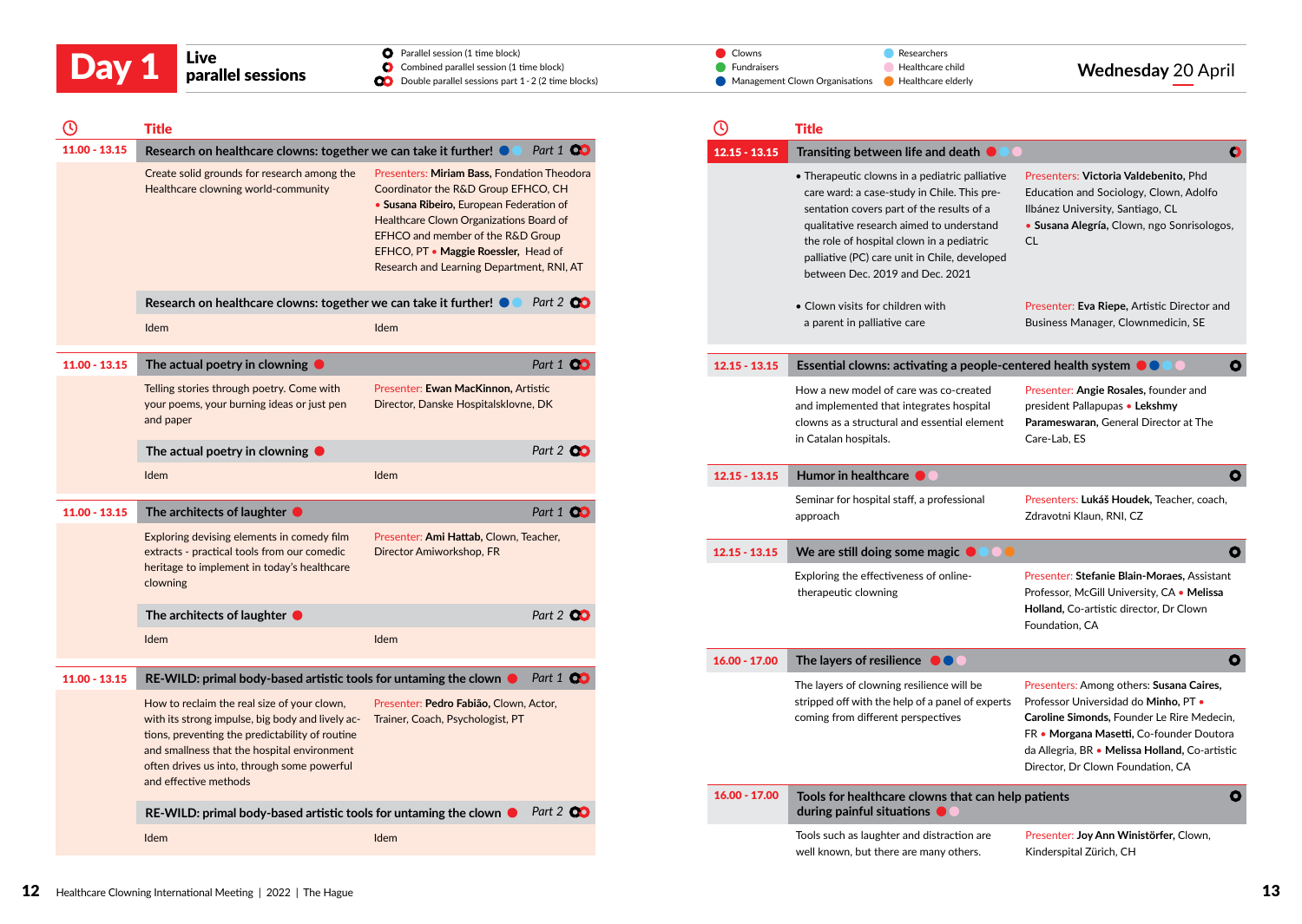| Live |
|------|
| para |

| Day 1 | Live              | <b>O</b> Parallel session (1 time block)                      | Clowns<br>Researchers                                 |                           |
|-------|-------------------|---------------------------------------------------------------|-------------------------------------------------------|---------------------------|
|       |                   | Combined parallel session (1 time block)                      | <b>Fundraisers</b><br>Healthcare child                | <b>Wednesday 20 April</b> |
|       | parallel sessions | <b>OD</b> Double parallel sessions part 1 - 2 (2 time blocks) | Management Clown Organisations Development Preacherly |                           |

 $\bullet$ 

 $\bullet$ 

 $\bullet$ 

 $\bullet$ 

 $\bullet$ 

 $\bullet$ 

| $\mathbf \Theta$ | <b>Title</b>                                                                                                                                                                                                                                                                                                                                            |                                                                                                                                                                                                                                                                                                     |                  | $\odot$ |                 | <b>Title</b>                                                                                                                                                                                                                                                                                                            |                                                                                                                                                                                                                                                                   |
|------------------|---------------------------------------------------------------------------------------------------------------------------------------------------------------------------------------------------------------------------------------------------------------------------------------------------------------------------------------------------------|-----------------------------------------------------------------------------------------------------------------------------------------------------------------------------------------------------------------------------------------------------------------------------------------------------|------------------|---------|-----------------|-------------------------------------------------------------------------------------------------------------------------------------------------------------------------------------------------------------------------------------------------------------------------------------------------------------------------|-------------------------------------------------------------------------------------------------------------------------------------------------------------------------------------------------------------------------------------------------------------------|
| $11.00 - 13.15$  | Research on healthcare clowns: together we can take it further!                                                                                                                                                                                                                                                                                         |                                                                                                                                                                                                                                                                                                     | Part 1 <b>CO</b> |         | $12.15 - 13.15$ | Transiting between life and death $\bullet$                                                                                                                                                                                                                                                                             | c                                                                                                                                                                                                                                                                 |
|                  | Create solid grounds for research among the<br>Healthcare clowning world-community                                                                                                                                                                                                                                                                      | Presenters: Miriam Bass, Fondation Theodora<br>Coordinator the R&D Group EFHCO, CH<br>• Susana Ribeiro, European Federation of<br>Healthcare Clown Organizations Board of<br>EFHCO and member of the R&D Group<br>EFHCO, PT • Maggie Roessler, Head of<br>Research and Learning Department, RNI, AT |                  |         |                 | • Therapeutic clowns in a pediatric palliative<br>care ward: a case-study in Chile. This pre-<br>sentation covers part of the results of a<br>qualitative research aimed to understand<br>the role of hospital clown in a pediatric<br>palliative (PC) care unit in Chile, developed<br>between Dec. 2019 and Dec. 2021 | Presenters: Victoria Valdebenito, Phd<br>Education and Sociology, Clown, Adolfo<br>Ilbánez University, Santiago, CL<br>· Susana Alegría, Clown, ngo Sonrisologos,<br>CL                                                                                           |
|                  | Research on healthcare clowns: together we can take it further!                                                                                                                                                                                                                                                                                         |                                                                                                                                                                                                                                                                                                     | Part 2 <b>00</b> |         |                 | • Clown visits for children with                                                                                                                                                                                                                                                                                        | Presenter: Eva Riepe, Artistic Director and                                                                                                                                                                                                                       |
|                  | Idem                                                                                                                                                                                                                                                                                                                                                    | Idem                                                                                                                                                                                                                                                                                                |                  |         |                 | a parent in palliative care                                                                                                                                                                                                                                                                                             | Business Manager, Clownmedicin, SE                                                                                                                                                                                                                                |
| $11.00 - 13.15$  | The actual poetry in clowning $\bullet$                                                                                                                                                                                                                                                                                                                 |                                                                                                                                                                                                                                                                                                     | Part 1 <b>00</b> |         | $12.15 - 13.15$ | Essential clowns: activating a people-centered health system $\bullet \bullet$                                                                                                                                                                                                                                          |                                                                                                                                                                                                                                                                   |
|                  | Telling stories through poetry. Come with<br>your poems, your burning ideas or just pen<br>and paper                                                                                                                                                                                                                                                    | Presenter: Ewan MacKinnon, Artistic<br>Director, Danske Hospitalsklovne, DK                                                                                                                                                                                                                         |                  |         |                 | How a new model of care was co-created<br>and implemented that integrates hospital<br>clowns as a structural and essential element<br>in Catalan hospitals.                                                                                                                                                             | Presenter: Angie Rosales, founder and<br>president Pallapupas · Lekshmy<br>Parameswaran, General Director at The<br>Care-Lab, ES                                                                                                                                  |
|                  | The actual poetry in clowning $\bullet$                                                                                                                                                                                                                                                                                                                 |                                                                                                                                                                                                                                                                                                     | Part 2 00        |         |                 |                                                                                                                                                                                                                                                                                                                         |                                                                                                                                                                                                                                                                   |
|                  | Idem                                                                                                                                                                                                                                                                                                                                                    | Idem                                                                                                                                                                                                                                                                                                |                  |         | $12.15 - 13.15$ | Humor in healthcare                                                                                                                                                                                                                                                                                                     |                                                                                                                                                                                                                                                                   |
| $11.00 - 13.15$  | The architects of laughter $\bullet$                                                                                                                                                                                                                                                                                                                    |                                                                                                                                                                                                                                                                                                     | Part 1 00        |         |                 | Seminar for hospital staff, a professional<br>approach                                                                                                                                                                                                                                                                  | Presenters: Lukáš Houdek, Teacher, coach,<br>Zdravotni Klaun, RNI, CZ                                                                                                                                                                                             |
|                  | Exploring devising elements in comedy film<br>extracts - practical tools from our comedic<br>heritage to implement in today's healthcare<br>clowning                                                                                                                                                                                                    | Presenter: Ami Hattab, Clown, Teacher,<br>Director Amiworkshop, FR                                                                                                                                                                                                                                  |                  |         | $12.15 - 13.15$ | We are still doing some magic $\bullet$<br>Exploring the effectiveness of online-<br>therapeutic clowning                                                                                                                                                                                                               | Presenter: Stefanie Blain-Moraes, Assistant<br>Professor, McGill University, CA . Melissa                                                                                                                                                                         |
|                  | The architects of laughter $\bullet$                                                                                                                                                                                                                                                                                                                    |                                                                                                                                                                                                                                                                                                     | Part 2 <b>CO</b> |         |                 |                                                                                                                                                                                                                                                                                                                         | Holland, Co-artistic director, Dr Clown<br>Foundation, CA                                                                                                                                                                                                         |
|                  | <b>Idem</b>                                                                                                                                                                                                                                                                                                                                             | Idem                                                                                                                                                                                                                                                                                                |                  |         |                 |                                                                                                                                                                                                                                                                                                                         |                                                                                                                                                                                                                                                                   |
|                  |                                                                                                                                                                                                                                                                                                                                                         |                                                                                                                                                                                                                                                                                                     |                  |         | $16.00 - 17.00$ | The layers of resilience OO                                                                                                                                                                                                                                                                                             | C                                                                                                                                                                                                                                                                 |
| $11.00 - 13.15$  | RE-WILD: primal body-based artistic tools for untaming the clown $\bullet$<br>How to reclaim the real size of your clown,<br>with its strong impulse, big body and lively ac-<br>tions, preventing the predictability of routine<br>and smallness that the hospital environment<br>often drives us into, through some powerful<br>and effective methods | Presenter: Pedro Fabião, Clown, Actor,<br>Trainer, Coach, Psychologist, PT                                                                                                                                                                                                                          | Part 1 <b>CO</b> |         |                 | The layers of clowning resilience will be<br>stripped off with the help of a panel of experts<br>coming from different perspectives                                                                                                                                                                                     | Presenters: Among others: Susana Caires,<br>Professor Universidad do Minho, PT .<br>Caroline Simonds, Founder Le Rire Medecin,<br>FR • Morgana Masetti, Co-founder Doutora<br>da Allegria, BR · Melissa Holland, Co-artistic<br>Director, Dr Clown Foundation, CA |
|                  | RE-WILD: primal body-based artistic tools for untaming the clown $\bullet$                                                                                                                                                                                                                                                                              |                                                                                                                                                                                                                                                                                                     | Part 2 CO        |         | $16.00 - 17.00$ | Tools for healthcare clowns that can help patients<br>during painful situations $\bullet$                                                                                                                                                                                                                               |                                                                                                                                                                                                                                                                   |
|                  | Idem                                                                                                                                                                                                                                                                                                                                                    | Idem                                                                                                                                                                                                                                                                                                |                  |         |                 | Tools such as laughter and distraction are<br>well known, but there are many others.                                                                                                                                                                                                                                    | Presenter: Joy Ann Winistörfer, Clown,<br>Kinderspital Zürich, CH                                                                                                                                                                                                 |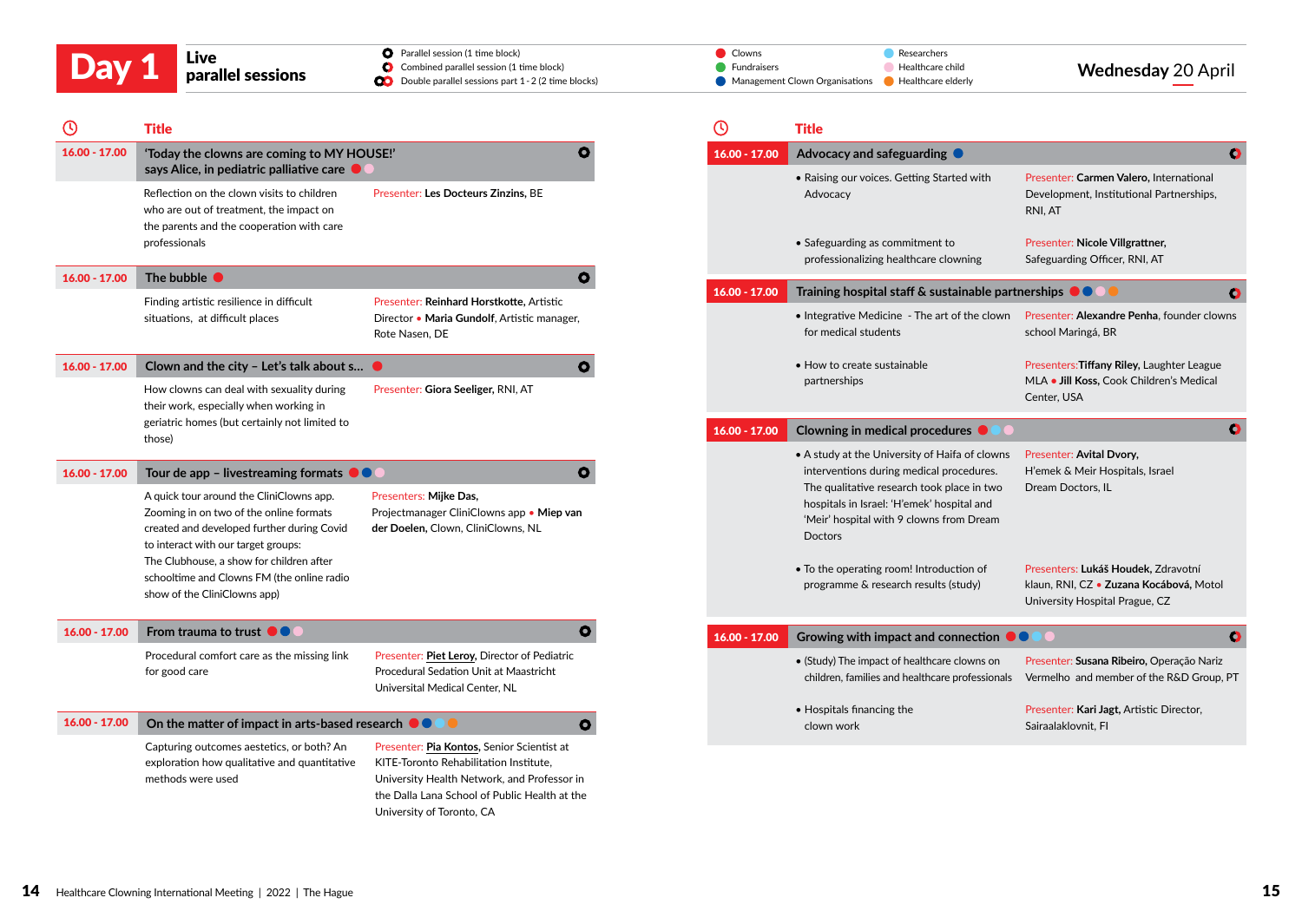| Day 1 | Live<br>parallel sessions | <b>O</b> Parallel session (1 time block)<br>Combined parallel session (1 time block)<br><b>CO</b> Double parallel sessions part 1 - 2 (2 time blocks) | Researchers<br>Clowns<br><b>Fundraisers</b><br>Healthcare child<br>• Management Clown Organisations • Healthcare elderly | <b>Wednesday 20 April</b> |
|-------|---------------------------|-------------------------------------------------------------------------------------------------------------------------------------------------------|--------------------------------------------------------------------------------------------------------------------------|---------------------------|
|       |                           |                                                                                                                                                       |                                                                                                                          |                           |

| (۱)             | <b>Title</b>                                                                                                                                                                                                                                                       |                                                                                                                                                                                                                   | $\odot$         | Title                                             |
|-----------------|--------------------------------------------------------------------------------------------------------------------------------------------------------------------------------------------------------------------------------------------------------------------|-------------------------------------------------------------------------------------------------------------------------------------------------------------------------------------------------------------------|-----------------|---------------------------------------------------|
| 16.00 - 17.00   | 'Today the clowns are coming to MY HOUSE!'<br>says Alice, in pediatric palliative care $\bullet$                                                                                                                                                                   | Ο                                                                                                                                                                                                                 | $16.00 - 17.00$ | Advo<br>• Rais                                    |
|                 | Reflection on the clown visits to children<br>who are out of treatment, the impact on<br>the parents and the cooperation with care<br>professionals                                                                                                                | Presenter: Les Docteurs Zinzins, BE                                                                                                                                                                               |                 | Ad<br>$\bullet$ Safe                              |
| $16.00 - 17.00$ | The bubble $\bullet$                                                                                                                                                                                                                                               | $\bullet$                                                                                                                                                                                                         |                 | pro                                               |
|                 | Finding artistic resilience in difficult<br>situations, at difficult places                                                                                                                                                                                        | Presenter: Reinhard Horstkotte, Artistic<br>Director • Maria Gundolf, Artistic manager,<br>Rote Nasen, DE                                                                                                         | $16.00 - 17.00$ | Trair<br>$\bullet$ Inte<br>for                    |
| $16.00 - 17.00$ | Clown and the city - Let's talk about s                                                                                                                                                                                                                            | O                                                                                                                                                                                                                 |                 | • Hov                                             |
|                 | How clowns can deal with sexuality during<br>their work, especially when working in<br>geriatric homes (but certainly not limited to                                                                                                                               | Presenter: Giora Seeliger, RNI, AT                                                                                                                                                                                |                 | part                                              |
|                 | those)                                                                                                                                                                                                                                                             |                                                                                                                                                                                                                   | $16.00 - 17.00$ | Clow                                              |
| $16.00 - 17.00$ | Tour de app – livestreaming formats $\bullet \bullet \bullet$                                                                                                                                                                                                      | ο                                                                                                                                                                                                                 |                 | $\bullet$ A st<br>inte                            |
|                 | A quick tour around the CliniClowns app.<br>Zooming in on two of the online formats<br>created and developed further during Covid<br>to interact with our target groups:<br>The Clubhouse, a show for children after<br>schooltime and Clowns FM (the online radio | Presenters: Mijke Das,<br>Projectmanager CliniClowns app . Miep van<br>der Doelen, Clown, CliniClowns, NL                                                                                                         |                 | The<br>hos<br>'Me<br>Doo<br>$\bullet$ To t<br>pro |
|                 | show of the CliniClowns app)                                                                                                                                                                                                                                       |                                                                                                                                                                                                                   |                 |                                                   |
| 16.00 - 17.00   | From trauma to trust $\bullet \bullet$                                                                                                                                                                                                                             | ο                                                                                                                                                                                                                 | 16.00 - 17.00   | Grov                                              |
|                 | Procedural comfort care as the missing link<br>for good care                                                                                                                                                                                                       | Presenter: Piet Leroy, Director of Pediatric<br>Procedural Sedation Unit at Maastricht<br>Universital Medical Center, NL                                                                                          |                 | $\bullet$ (Stu<br>chil                            |
| $16.00 - 17.00$ | On the matter of impact in arts-based research $\bullet\hspace{-.15cm}\bullet\hspace{-.15cm}$                                                                                                                                                                      | O                                                                                                                                                                                                                 |                 | $\bullet$ Hos<br>clo                              |
|                 | Capturing outcomes aestetics, or both? An<br>exploration how qualitative and quantitative<br>methods were used                                                                                                                                                     | Presenter: Pia Kontos, Senior Scientist at<br>KITE-Toronto Rehabilitation Institute,<br>University Health Network, and Professor in<br>the Dalla Lana School of Public Health at the<br>University of Toronto, CA |                 |                                                   |

| Title                                                                                                                                                                                                                                         |                                                                                                                  |
|-----------------------------------------------------------------------------------------------------------------------------------------------------------------------------------------------------------------------------------------------|------------------------------------------------------------------------------------------------------------------|
| Advocacy and safeguarding                                                                                                                                                                                                                     |                                                                                                                  |
| • Raising our voices. Getting Started with<br>Advocacy                                                                                                                                                                                        | Presenter: Carmen Valero, International<br>Development, Institutional Partnerships,<br>RNI, AT                   |
| $\bullet$ Safeguarding as commitment to<br>professionalizing healthcare clowning                                                                                                                                                              | Presenter: Nicole Villgrattner,<br>Safeguarding Officer, RNI, AT                                                 |
| Training hospital staff & sustainable partnerships                                                                                                                                                                                            | Ο                                                                                                                |
| • Integrative Medicine - The art of the clown<br>for medical students                                                                                                                                                                         | Presenter: Alexandre Penha, founder clowns<br>school Maringá, BR                                                 |
| • How to create sustainable<br>partnerships                                                                                                                                                                                                   | Presenters: Tiffany Riley, Laughter League<br>MLA . Jill Koss, Cook Children's Medical<br>Center, USA            |
| <b>Clowning in medical procedures</b>                                                                                                                                                                                                         | Ο                                                                                                                |
| . A study at the University of Haifa of clowns<br>interventions during medical procedures.<br>The qualitative research took place in two<br>hospitals in Israel: 'H'emek' hospital and<br>'Meir' hospital with 9 clowns from Dream<br>Doctors | Presenter: Avital Dvory,<br>H'emek & Meir Hospitals, Israel<br>Dream Doctors, IL                                 |
| • To the operating room! Introduction of<br>programme & research results (study)                                                                                                                                                              | Presenters: Lukáš Houdek, Zdravotní<br>klaun, RNI, CZ · Zuzana Kocábová, Motol<br>University Hospital Prague, CZ |
| Growing with impact and connection                                                                                                                                                                                                            | O                                                                                                                |
| • (Study) The impact of healthcare clowns on<br>children, families and healthcare professionals                                                                                                                                               | Presenter: Susana Ribeiro, Operação Nariz<br>Vermelho and member of the R&D Group, PT                            |
| • Hospitals financing the<br>clown work                                                                                                                                                                                                       | Presenter: Kari Jagt, Artistic Director,<br>Sairaalaklovnit, Fl                                                  |
|                                                                                                                                                                                                                                               |                                                                                                                  |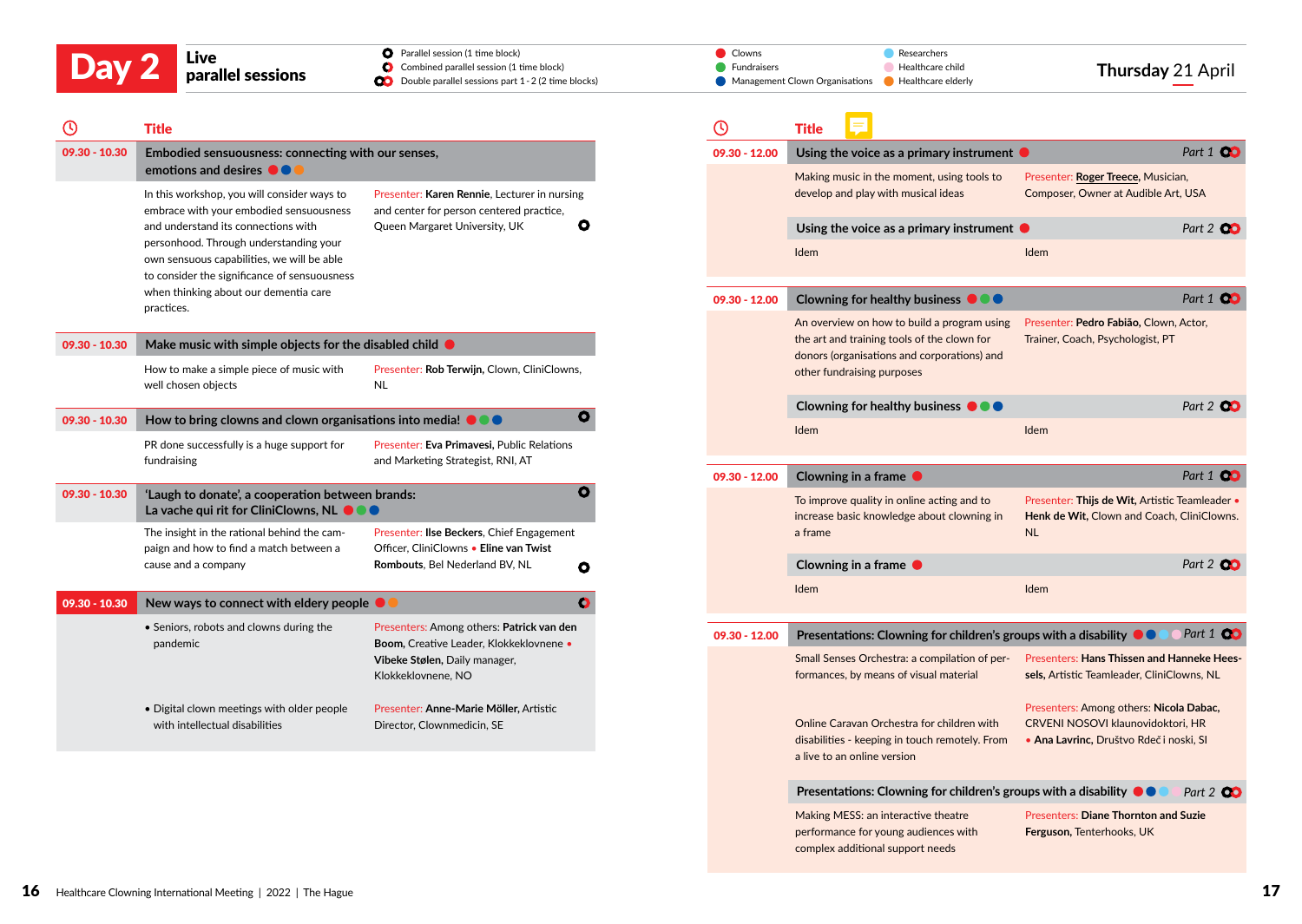| <b>Service Service</b> |  | $\mathcal{L}(\mathcal{L})$ and $\mathcal{L}(\mathcal{L})$ and $\mathcal{L}(\mathcal{L})$ |
|------------------------|--|------------------------------------------------------------------------------------------|

#### **O** Parallel session (1 time block) Combined parallel session (1 time block)

|       | Live              | <b>O</b> Parallel session (1 time block)                      | <b>⊿</b> Clowns<br>Researchers                       |                  |
|-------|-------------------|---------------------------------------------------------------|------------------------------------------------------|------------------|
| Day 2 |                   | Combined parallel session (1 time block)                      | Fundraisers<br>Healthcare child                      | Thursday 21 Apri |
|       | parallel sessions | <b>CO</b> Double parallel sessions part 1 - 2 (2 time blocks) | Management Clown Organisations Development Preachers |                  |

| Ø               | <b>Title</b>                                                                                         |                                                                                          | B             | <b>Title</b>              |
|-----------------|------------------------------------------------------------------------------------------------------|------------------------------------------------------------------------------------------|---------------|---------------------------|
| 09.30 - 10.30   | Embodied sensuousness: connecting with our senses,<br>emotions and desires $\bullet \bullet \bullet$ | 09.30 - 12.00                                                                            | Usin<br>Makir |                           |
|                 | In this workshop, you will consider ways to<br>embrace with your embodied sensuousness               | Presenter: Karen Rennie, Lecturer in nursing<br>and center for person centered practice, |               | devel                     |
|                 | and understand its connections with<br>personhood. Through understanding your                        | $\bullet$<br>Queen Margaret University, UK                                               |               | Usin                      |
|                 | own sensuous capabilities, we will be able<br>to consider the significance of sensuousness           |                                                                                          |               | <b>Idem</b>               |
|                 | when thinking about our dementia care<br>practices.                                                  |                                                                                          | 09.30 - 12.00 | Clow                      |
| $09.30 - 10.30$ | Make music with simple objects for the disabled child $\bullet$                                      |                                                                                          |               | An ov<br>the ar           |
|                 | How to make a simple piece of music with<br>well chosen objects                                      | Presenter: Rob Terwijn, Clown, CliniClowns,<br><b>NL</b>                                 |               | donor<br>other            |
| 09.30 - 10.30   | How to bring clowns and clown organisations into media! $\bullet \bullet \bullet$                    | $\bullet$                                                                                |               | Clow<br><b>Idem</b>       |
|                 | PR done successfully is a huge support for                                                           | Presenter: Eva Primavesi, Public Relations                                               |               |                           |
|                 | fundraising                                                                                          | and Marketing Strategist, RNI, AT                                                        | 09.30 - 12.00 | Clow                      |
| $09.30 - 10.30$ | 'Laugh to donate', a cooperation between brands:<br>La vache qui rit for CliniClowns, NL 000         | O                                                                                        |               | To im<br>increa           |
|                 | The insight in the rational behind the cam-<br>paign and how to find a match between a               | Presenter: Ilse Beckers, Chief Engagement<br>Officer, CliniClowns . Eline van Twist      |               | a fran                    |
|                 | cause and a company                                                                                  | Rombouts, Bel Nederland BV, NL<br>О                                                      |               | Clow                      |
| 09.30 - 10.30   | New ways to connect with eldery people $\bullet \bullet$                                             | O                                                                                        |               | Idem                      |
|                 | • Seniors, robots and clowns during the<br>pandemic                                                  | Presenters: Among others: Patrick van den<br>Boom, Creative Leader, Klokkeklovnene .     | 09.30 - 12.00 | Pres                      |
|                 |                                                                                                      | Vibeke Stølen, Daily manager,<br>Klokkeklovnene, NO                                      |               | Small<br>forma            |
|                 | . Digital clown meetings with older people<br>with intellectual disabilities                         | Presenter: Anne-Marie Möller, Artistic<br>Director, Clownmedicin, SE                     |               | Onlin<br>disabi<br>a live |
|                 |                                                                                                      |                                                                                          |               |                           |

|                 | <b>Title</b>                                                                                                                                                            |                                                                                                                         |
|-----------------|-------------------------------------------------------------------------------------------------------------------------------------------------------------------------|-------------------------------------------------------------------------------------------------------------------------|
| 09.30 - 12.00   | Using the voice as a primary instrument $\bullet$                                                                                                                       | Part 1 <b>QC</b>                                                                                                        |
|                 | Making music in the moment, using tools to<br>develop and play with musical ideas                                                                                       | Presenter: Roger Treece, Musician,<br>Composer, Owner at Audible Art, USA                                               |
|                 | Using the voice as a primary instrument $\bullet$                                                                                                                       | Part 2 00                                                                                                               |
|                 | Idem                                                                                                                                                                    | <b>Idem</b>                                                                                                             |
| $09.30 - 12.00$ | Clowning for healthy business $\bullet \bullet \bullet$                                                                                                                 | Part 1 Q                                                                                                                |
|                 | An overview on how to build a program using<br>the art and training tools of the clown for<br>donors (organisations and corporations) and<br>other fundraising purposes | Presenter: Pedro Fabião, Clown, Actor,<br>Trainer, Coach, Psychologist, PT                                              |
|                 | Clowning for healthy business $\bullet \bullet \bullet$                                                                                                                 | Part 2 $\alpha$                                                                                                         |
|                 | Idem                                                                                                                                                                    | Idem                                                                                                                    |
| $09.30 - 12.00$ | Clowning in a frame                                                                                                                                                     | Part 1 00                                                                                                               |
|                 | To improve quality in online acting and to<br>increase basic knowledge about clowning in<br>a frame                                                                     | Presenter: Thijs de Wit, Artistic Teamleader •<br>Henk de Wit, Clown and Coach, CliniClowns.<br><b>NL</b>               |
|                 | Clowning in a frame                                                                                                                                                     | Part 2 <b>OC</b>                                                                                                        |
|                 | Idem                                                                                                                                                                    | Idem                                                                                                                    |
| $09.30 - 12.00$ | Presentations: Clowning for children's groups with a disability ●●                                                                                                      | Part 1 <b>CO</b>                                                                                                        |
|                 | Small Senses Orchestra: a compilation of per-<br>formances, by means of visual material                                                                                 | Presenters: Hans Thissen and Hanneke Hees-<br>sels, Artistic Teamleader, CliniClowns, NL                                |
|                 | Online Caravan Orchestra for children with<br>disabilities - keeping in touch remotely. From<br>a live to an online version                                             | Presenters: Among others: Nicola Dabac,<br>CRVENI NOSOVI klaunovidoktori, HR<br>· Ana Lavrinc, Društvo Rdeč i noski, SI |
|                 | Presentations: Clowning for children's groups with a disability $\bullet\hspace{-2.9pt}\bullet\hspace{-2.9pt}$                                                          | Part 2 00                                                                                                               |
|                 | Making MESS: an interactive theatre<br>performance for young audiences with<br>complex additional support needs                                                         | Presenters: Diane Thornton and Suzie<br><b>Ferguson, Tenterhooks, UK</b>                                                |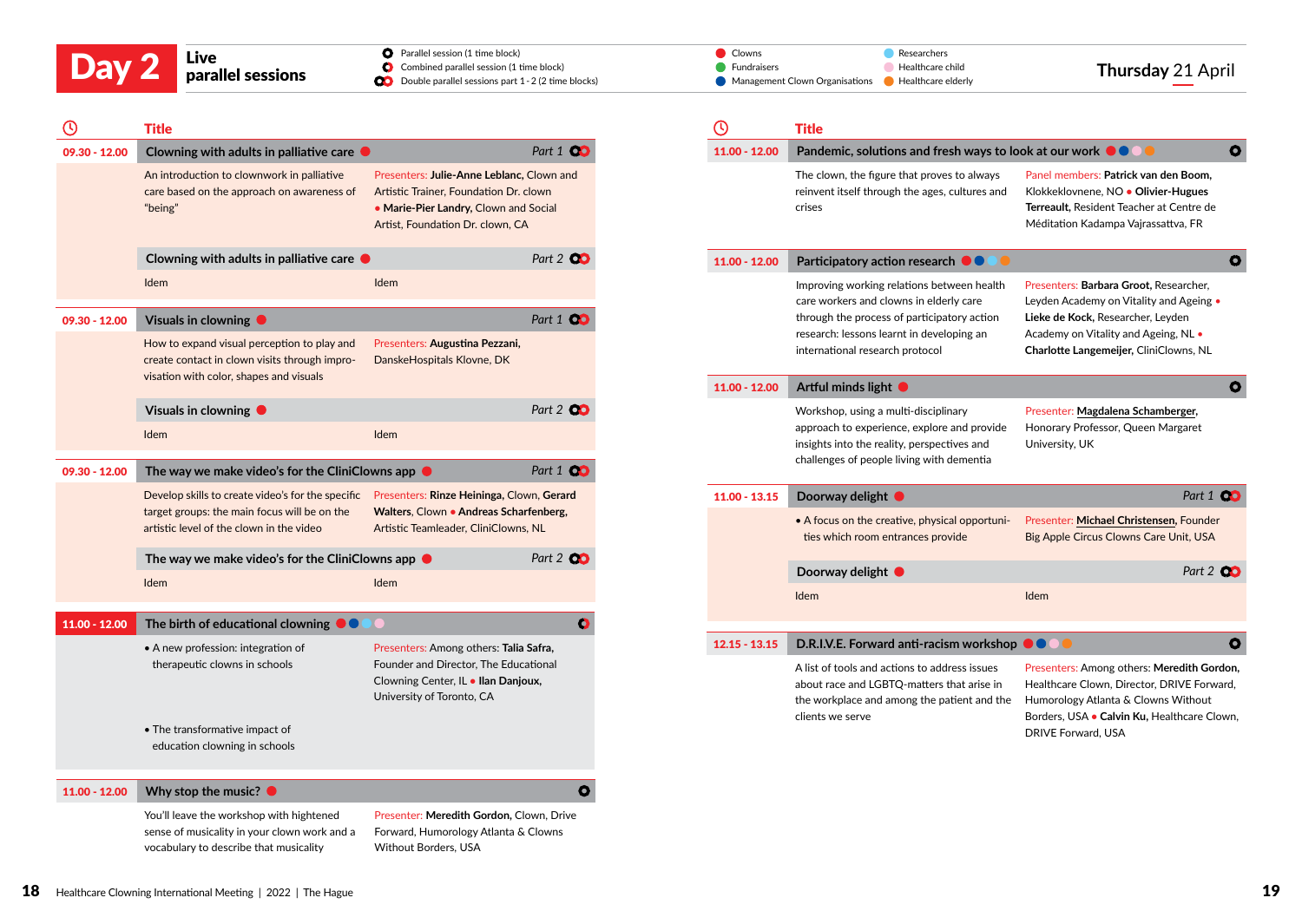

Double parallel sessions part 1 - 2 (2 time blocks)

| ⋒ | Title |
|---|-------|
|   |       |

| ၑ               | Title                                                                                                                                                                                   |                                                                                                                                                                  |                  |
|-----------------|-----------------------------------------------------------------------------------------------------------------------------------------------------------------------------------------|------------------------------------------------------------------------------------------------------------------------------------------------------------------|------------------|
| $09.30 - 12.00$ | Clowning with adults in palliative care (                                                                                                                                               |                                                                                                                                                                  | Part 1 <b>Q</b>  |
|                 | An introduction to clownwork in palliative<br>care based on the approach on awareness of<br>"being"                                                                                     | Presenters: Julie-Anne Leblanc, Clown and<br>Artistic Trainer, Foundation Dr. clown<br>. Marie-Pier Landry, Clown and Social<br>Artist, Foundation Dr. clown, CA |                  |
|                 | Clowning with adults in palliative care $\bullet$                                                                                                                                       |                                                                                                                                                                  | Part 2 00        |
|                 | Idem                                                                                                                                                                                    | <b>Idem</b>                                                                                                                                                      |                  |
| $09.30 - 12.00$ | Visuals in clowning $\bullet$                                                                                                                                                           |                                                                                                                                                                  | Part 1 00        |
|                 | How to expand visual perception to play and<br>create contact in clown visits through impro-<br>visation with color, shapes and visuals                                                 | Presenters: Augustina Pezzani,<br>DanskeHospitals Klovne, DK                                                                                                     |                  |
|                 |                                                                                                                                                                                         |                                                                                                                                                                  |                  |
|                 | Visuals in clowning $\bullet$<br>Idem                                                                                                                                                   | Idem                                                                                                                                                             | Part 2 <b>00</b> |
| 09.30 - 12.00   | The way we make video's for the CliniClowns app $\bullet$                                                                                                                               |                                                                                                                                                                  | Part 1 <b>00</b> |
|                 | Develop skills to create video's for the specific Presenters: Rinze Heininga, Clown, Gerard<br>target groups: the main focus will be on the<br>artistic level of the clown in the video | Walters, Clown • Andreas Scharfenberg,<br>Artistic Teamleader, CliniClowns, NL                                                                                   |                  |
|                 | The way we make video's for the CliniClowns app $\bullet$                                                                                                                               |                                                                                                                                                                  | Part 2 00        |
|                 | Idem                                                                                                                                                                                    | Idem                                                                                                                                                             |                  |
| 11.00 - 12.00   | The birth of educational clowning $\bullet\bullet$                                                                                                                                      | $\bigcirc$                                                                                                                                                       | $\bullet$        |
|                 | • A new profession: integration of<br>therapeutic clowns in schools                                                                                                                     | Presenters: Among others: Talia Safra,<br>Founder and Director, The Educational<br>Clowning Center, IL . Ilan Danjoux,<br>University of Toronto, CA              |                  |
|                 | • The transformative impact of<br>education clowning in schools                                                                                                                         |                                                                                                                                                                  |                  |
| $11.00 - 12.00$ | Why stop the music? $\bullet$                                                                                                                                                           |                                                                                                                                                                  | $\bullet$        |
|                 | You'll leave the workshop with hightened<br>sense of musicality in your clown work and a                                                                                                | Presenter: Meredith Gordon, Clown, Drive<br>Forward, Humorology Atlanta & Clowns                                                                                 |                  |

Without Borders, USA

|       | Live              | <b>O</b> Parallel session (1 time block)                      | <b>/ Clowns</b>                                            | Researchers      |                  |
|-------|-------------------|---------------------------------------------------------------|------------------------------------------------------------|------------------|------------------|
| Day 2 |                   | Combined parallel session (1 time block)                      | Fundraisers                                                | Healthcare child | Thursday 21 Apri |
|       | parallel sessions | <b>CO</b> Double parallel sessions part 1 - 2 (2 time blocks) | Management Clown Organisations <b>C</b> Healthcare elderly |                  |                  |

| υ               | <b>Title</b>                                                                                                                                                                                                         |                                                                                                                                                                                                          |
|-----------------|----------------------------------------------------------------------------------------------------------------------------------------------------------------------------------------------------------------------|----------------------------------------------------------------------------------------------------------------------------------------------------------------------------------------------------------|
| 11.00 - 12.00   | Pandemic, solutions and fresh ways to look at our work ●●●●                                                                                                                                                          | $\bullet$                                                                                                                                                                                                |
|                 | The clown, the figure that proves to always<br>reinvent itself through the ages, cultures and<br>crises                                                                                                              | Panel members: Patrick van den Boom,<br>Klokkeklovnene, NO · Olivier-Hugues<br>Terreault, Resident Teacher at Centre de<br>Méditation Kadampa Vajrassattva, FR                                           |
| $11.00 - 12.00$ | Participatory action research $\bullet \bullet$                                                                                                                                                                      | O                                                                                                                                                                                                        |
|                 | Improving working relations between health<br>care workers and clowns in elderly care<br>through the process of participatory action<br>research: lessons learnt in developing an<br>international research protocol | Presenters: Barbara Groot, Researcher,<br>Leyden Academy on Vitality and Ageing •<br>Lieke de Kock, Researcher, Leyden<br>Academy on Vitality and Ageing, NL •<br>Charlotte Langemeijer, CliniClowns, NL |
| 11.00 - 12.00   | Artful minds light $\bullet$                                                                                                                                                                                         | $\bullet$                                                                                                                                                                                                |
|                 | Workshop, using a multi-disciplinary<br>approach to experience, explore and provide<br>insights into the reality, perspectives and<br>challenges of people living with dementia                                      | Presenter: Magdalena Schamberger,<br>Honorary Professor, Queen Margaret<br>University, UK                                                                                                                |
| $11.00 - 13.15$ | Doorway delight $\bullet$                                                                                                                                                                                            | Part 1 00                                                                                                                                                                                                |
|                 | • A focus on the creative, physical opportuni-<br>ties which room entrances provide                                                                                                                                  | Presenter: Michael Christensen, Founder<br>Big Apple Circus Clowns Care Unit, USA                                                                                                                        |
|                 | Doorway delight $\bullet$                                                                                                                                                                                            | Part 2 00                                                                                                                                                                                                |
|                 | Idem                                                                                                                                                                                                                 | Idem                                                                                                                                                                                                     |
|                 |                                                                                                                                                                                                                      |                                                                                                                                                                                                          |
| $12.15 - 13.15$ | D.R.I.V.E. Forward anti-racism workshop                                                                                                                                                                              | O                                                                                                                                                                                                        |
|                 | A list of tools and actions to address issues<br>about race and LGBTQ-matters that arise in<br>the workplace and among the patient and the<br>clients we serve                                                       | Presenters: Among others: Meredith Gordon,<br>Healthcare Clown, Director, DRIVE Forward,<br>Humorology Atlanta & Clowns Without<br>Borders, USA . Calvin Ku, Healthcare Clown,<br>DRIVE Forward, USA     |

vocabulary to describe that musicality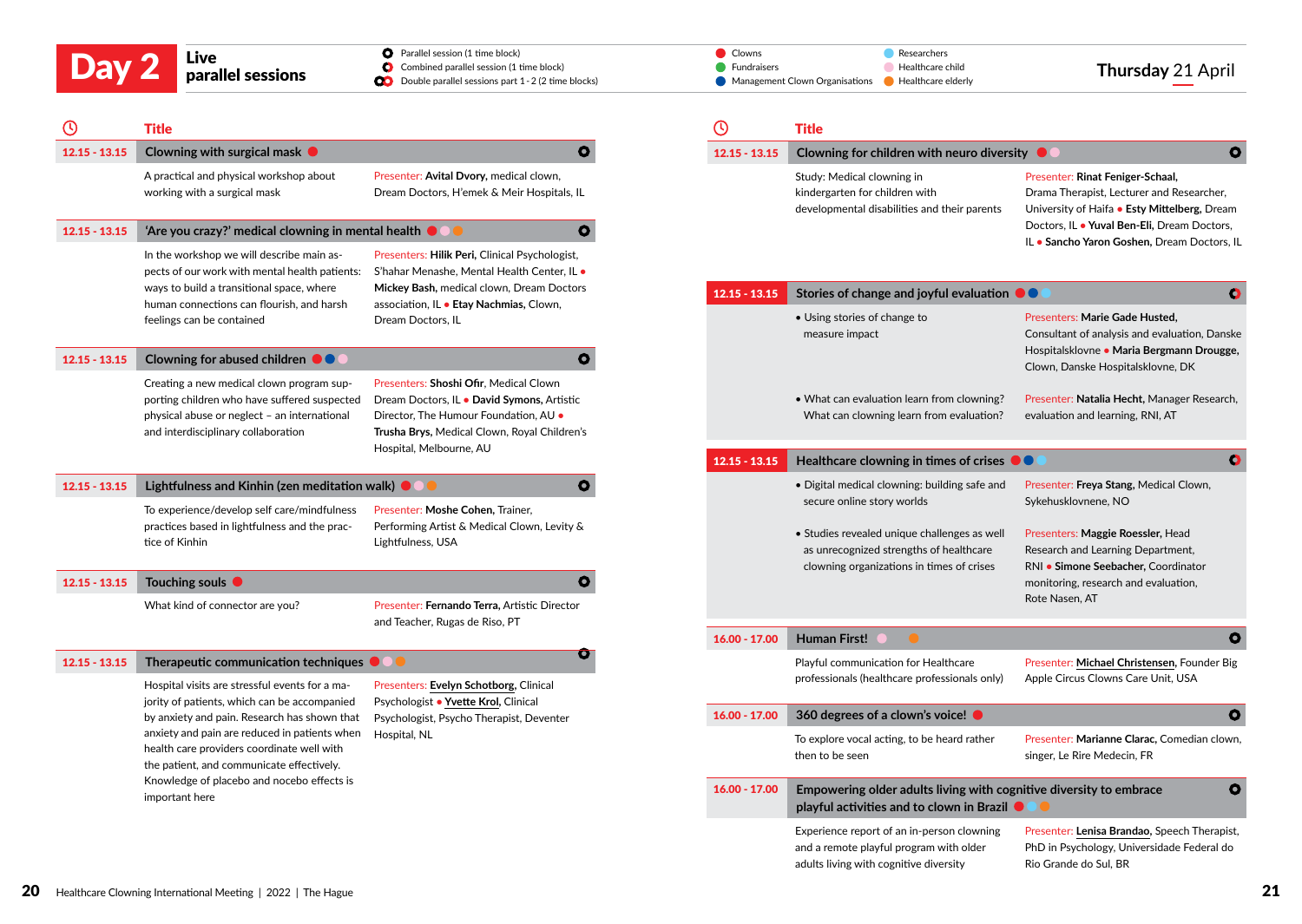|                 | Live<br>parallel sessions                                                                                                                                                        | <b>O</b> Parallel session (1 time block)<br>Combined parallel session (1 time block)<br>o<br>Double parallel sessions part 1 - 2 (2 time blocks)                                                         | Clowns<br>Fundraisers | Researchers<br>Healthcare child<br>Management Clown Organisations<br>Healthcare elderly                                                                                | Thursday 21 April                                                                                                                                                 |
|-----------------|----------------------------------------------------------------------------------------------------------------------------------------------------------------------------------|----------------------------------------------------------------------------------------------------------------------------------------------------------------------------------------------------------|-----------------------|------------------------------------------------------------------------------------------------------------------------------------------------------------------------|-------------------------------------------------------------------------------------------------------------------------------------------------------------------|
|                 | <b>Title</b>                                                                                                                                                                     |                                                                                                                                                                                                          | $\mathbb O$           | <b>Title</b>                                                                                                                                                           |                                                                                                                                                                   |
| $12.15 - 13.15$ | Clowning with surgical mask $\bullet$                                                                                                                                            | $\bullet$                                                                                                                                                                                                | $12.15 - 13.15$       | Clowning for children with neuro diversity $\bullet$                                                                                                                   | $\bullet$                                                                                                                                                         |
|                 | A practical and physical workshop about<br>working with a surgical mask                                                                                                          | Presenter: Avital Dvory, medical clown,<br>Dream Doctors, H'emek & Meir Hospitals, IL                                                                                                                    |                       | Study: Medical clowning in<br>kindergarten for children with<br>developmental disabilities and their parents                                                           | Presenter: Rinat Feniger-Schaal,<br>Drama Therapist, Lecturer and Researcher,<br>University of Haifa • Esty Mittelberg, Dream                                     |
| $12.15 - 13.15$ | 'Are you crazy?' medical clowning in mental health $\bullet$ $\bullet$<br>In the workshop we will describe main as-<br>pects of our work with mental health patients:            | $\bullet$<br>Presenters: Hilik Peri, Clinical Psychologist,<br>S'hahar Menashe, Mental Health Center, IL .                                                                                               |                       |                                                                                                                                                                        | Doctors, IL . Yuval Ben-Eli, Dream Doctors,<br>IL . Sancho Yaron Goshen, Dream Doctors, IL                                                                        |
|                 | ways to build a transitional space, where<br>human connections can flourish, and harsh                                                                                           | Mickey Bash, medical clown, Dream Doctors<br>association, IL . Etay Nachmias, Clown,                                                                                                                     | $12.15 - 13.15$       | Stories of change and joyful evaluation $\bullet\bullet$                                                                                                               | $\bullet$                                                                                                                                                         |
| $12.15 - 13.15$ | feelings can be contained<br>Clowning for abused children <b>OC</b>                                                                                                              | Dream Doctors, IL<br>$\mathbf{o}$                                                                                                                                                                        |                       | • Using stories of change to<br>measure impact                                                                                                                         | Presenters: Marie Gade Husted.<br>Consultant of analysis and evaluation, Danske<br>Hospitalsklovne · Maria Bergmann Drougge,<br>Clown, Danske Hospitalsklovne, DK |
|                 | Creating a new medical clown program sup-<br>porting children who have suffered suspected<br>physical abuse or neglect - an international<br>and interdisciplinary collaboration | Presenters: Shoshi Ofir, Medical Clown<br>Dream Doctors, IL . David Symons, Artistic<br>Director, The Humour Foundation, AU .<br>Trusha Brys, Medical Clown, Royal Children's<br>Hospital, Melbourne, AU |                       | • What can evaluation learn from clowning?<br>What can clowning learn from evaluation?                                                                                 | Presenter: Natalia Hecht, Manager Research,<br>evaluation and learning, RNI, AT                                                                                   |
|                 |                                                                                                                                                                                  |                                                                                                                                                                                                          | $12.15 - 13.15$       | Healthcare clowning in times of crises $\bullet\bullet$                                                                                                                | $\bullet$                                                                                                                                                         |
| $12.15 - 13.15$ | Lightfulness and Kinhin (zen meditation walk) $\bullet$<br>To experience/develop self care/mindfulness<br>practices based in lightfulness and the prac-<br>tice of Kinhin        | $\bullet$<br>Presenter: Moshe Cohen, Trainer,<br>Performing Artist & Medical Clown, Levity &<br>Lightfulness, USA                                                                                        |                       | . Digital medical clowning: building safe and<br>secure online story worlds<br>· Studies revealed unique challenges as well<br>as unrecognized strengths of healthcare | Presenter: Freya Stang, Medical Clown,<br>Sykehusklovnene, NO<br>Presenters: Maggie Roessler, Head<br>Research and Learning Department,                           |
| $12.15 - 13.15$ | Touching souls $\bullet$                                                                                                                                                         | $\bullet$                                                                                                                                                                                                |                       | clowning organizations in times of crises                                                                                                                              | RNI · Simone Seebacher, Coordinator<br>monitoring, research and evaluation,                                                                                       |
|                 | What kind of connector are you?                                                                                                                                                  | Presenter: Fernando Terra, Artistic Director<br>and Teacher, Rugas de Riso, PT                                                                                                                           |                       |                                                                                                                                                                        | Rote Nasen, AT                                                                                                                                                    |
|                 |                                                                                                                                                                                  |                                                                                                                                                                                                          | $16.00 - 17.00$       | <b>Human First!</b>                                                                                                                                                    | $\bullet$                                                                                                                                                         |
| $12.15 - 13.15$ | Therapeutic communication techniques $\bullet \bullet \bullet$<br>Hospital visits are stressful events for a ma-                                                                 | O<br>Presenters: Evelyn Schotborg, Clinical                                                                                                                                                              |                       | Playful communication for Healthcare<br>professionals (healthcare professionals only)                                                                                  | Presenter: Michael Christensen, Founder Big<br>Apple Circus Clowns Care Unit, USA                                                                                 |
|                 | jority of patients, which can be accompanied<br>by anxiety and pain. Research has shown that                                                                                     | Psychologist . Yvette Krol, Clinical<br>Psychologist, Psycho Therapist, Deventer                                                                                                                         | $16.00 - 17.00$       | 360 degrees of a clown's voice! $\bullet$                                                                                                                              | $\mathbf{o}$                                                                                                                                                      |
|                 | anxiety and pain are reduced in patients when<br>health care providers coordinate well with<br>the patient, and communicate effectively.                                         | Hospital, NL                                                                                                                                                                                             |                       | To explore vocal acting, to be heard rather<br>then to be seen                                                                                                         | Presenter: Marianne Clarac, Comedian clown,<br>singer, Le Rire Medecin, FR                                                                                        |
|                 | Knowledge of placebo and nocebo effects is<br>important here                                                                                                                     |                                                                                                                                                                                                          | $16.00 - 17.00$       | Empowering older adults living with cognitive diversity to embrace<br>playful activities and to clown in Brazil $\bullet$ (                                            | $\bullet$                                                                                                                                                         |

Experience report of an in-person clowning and a remote playful program with older adults living with cognitive diversity

Presenter: **[Lenisa Brandao](https://www.hcim2021.com/parallel-sessions.html),** Speech Therapist, PhD in Psychology, Universidade Federal do

Rio Grande do Sul, BR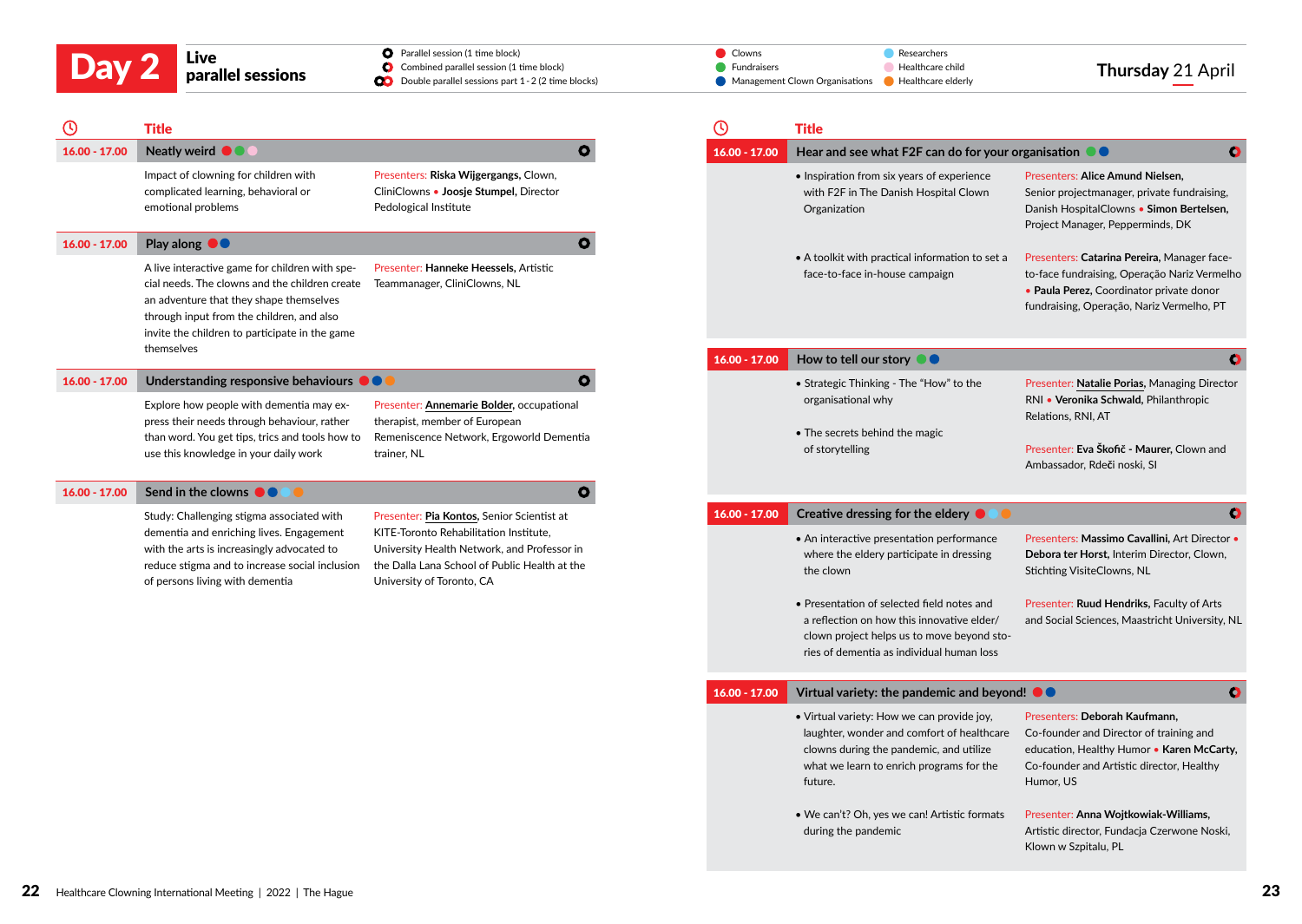Parallel session (1 time block)

|       | Live              | <b>O</b> Parallel session (1 time block)                      | Clowns                                                | Researchers      |                   |
|-------|-------------------|---------------------------------------------------------------|-------------------------------------------------------|------------------|-------------------|
| Day 2 |                   | Combined parallel session (1 time block)                      | <b>Fundraisers</b>                                    | Healthcare child | Thursday 21 April |
|       | parallel sessions | <b>OD</b> Double parallel sessions part 1 - 2 (2 time blocks) | • Management Clown Organisations • Healthcare elderly |                  |                   |

| $\mathbf \Theta$ | <b>Title</b>                                                                                                                                                                                                                                             |                                                                                                                                                                     | $\odot$                         | <b>Title</b>                                                                                                                                                                               |                                                                                                                                                                                 |
|------------------|----------------------------------------------------------------------------------------------------------------------------------------------------------------------------------------------------------------------------------------------------------|---------------------------------------------------------------------------------------------------------------------------------------------------------------------|---------------------------------|--------------------------------------------------------------------------------------------------------------------------------------------------------------------------------------------|---------------------------------------------------------------------------------------------------------------------------------------------------------------------------------|
| $16.00 - 17.00$  | Neatly weird <b>OOO</b>                                                                                                                                                                                                                                  |                                                                                                                                                                     | $\mathbf{o}$<br>$16.00 - 17.00$ | Hear and see what F2F can do for your organisation . •                                                                                                                                     | $\bullet$                                                                                                                                                                       |
|                  | Impact of clowning for children with<br>complicated learning, behavioral or<br>emotional problems                                                                                                                                                        | Presenters: Riska Wijgergangs, Clown,<br>CliniClowns • Joosje Stumpel, Director<br>Pedological Institute                                                            |                                 | • Inspiration from six years of experience<br>with F2F in The Danish Hospital Clown<br>Organization                                                                                        | Presenters: Alice Amund Nielsen,<br>Senior projectmanager, private fundraising,<br>Danish HospitalClowns • Simon Bertelsen,<br>Project Manager, Pepperminds, DK                 |
| $16.00 - 17.00$  | Play along <sup>00</sup>                                                                                                                                                                                                                                 |                                                                                                                                                                     | $\mathbf{o}$                    | • A toolkit with practical information to set a                                                                                                                                            | Presenters: Catarina Pereira, Manager face-                                                                                                                                     |
|                  | A live interactive game for children with spe-<br>cial needs. The clowns and the children create<br>an adventure that they shape themselves<br>through input from the children, and also<br>invite the children to participate in the game<br>themselves | Presenter: Hanneke Heessels, Artistic<br>Teammanager, CliniClowns, NL                                                                                               |                                 | face-to-face in-house campaign                                                                                                                                                             | to-face fundraising, Operação Nariz Vermelho<br>• Paula Perez, Coordinator private donor<br>fundraising, Operação, Nariz Vermelho, PT                                           |
|                  |                                                                                                                                                                                                                                                          |                                                                                                                                                                     | $16.00 - 17.00$                 | How to tell our story $\bullet \bullet$                                                                                                                                                    | O                                                                                                                                                                               |
| $16.00 - 17.00$  | Understanding responsive behaviours $\bullet\bullet\bullet$<br>Explore how people with dementia may ex-<br>press their needs through behaviour, rather                                                                                                   | Presenter: Annemarie Bolder, occupational<br>therapist, member of European                                                                                          | $\mathbf{o}$                    | • Strategic Thinking - The "How" to the<br>organisational why                                                                                                                              | Presenter: Natalie Porias, Managing Director<br>RNI · Veronika Schwald, Philanthropic<br>Relations, RNI, AT                                                                     |
|                  | than word. You get tips, trics and tools how to<br>use this knowledge in your daily work                                                                                                                                                                 | Remeniscence Network, Ergoworld Dementia<br>trainer. NL                                                                                                             |                                 | • The secrets behind the magic<br>of storytelling                                                                                                                                          | Presenter: Eva Škofič - Maurer, Clown and<br>Ambassador, Rdeči noski, SI                                                                                                        |
| $16.00 - 17.00$  | Send in the clowns $\bullet \bullet$                                                                                                                                                                                                                     |                                                                                                                                                                     | $\mathbf{o}$                    |                                                                                                                                                                                            |                                                                                                                                                                                 |
|                  | Study: Challenging stigma associated with                                                                                                                                                                                                                | Presenter: Pia Kontos, Senior Scientist at                                                                                                                          | $16.00 - 17.00$                 | Creative dressing for the eldery <b>O</b>                                                                                                                                                  | $\bullet$                                                                                                                                                                       |
|                  | dementia and enriching lives. Engagement<br>with the arts is increasingly advocated to<br>reduce stigma and to increase social inclusion<br>of persons living with dementia                                                                              | KITE-Toronto Rehabilitation Institute,<br>University Health Network, and Professor in<br>the Dalla Lana School of Public Health at the<br>University of Toronto, CA |                                 | • An interactive presentation performance<br>where the eldery participate in dressing<br>the clown                                                                                         | Presenters: Massimo Cavallini, Art Director .<br>Debora ter Horst, Interim Director, Clown,<br><b>Stichting VisiteClowns, NL</b>                                                |
|                  |                                                                                                                                                                                                                                                          |                                                                                                                                                                     |                                 | • Presentation of selected field notes and<br>a reflection on how this innovative elder/<br>clown project helps us to move beyond sto-<br>ries of dementia as individual human loss        | Presenter: Ruud Hendriks, Faculty of Arts<br>and Social Sciences, Maastricht University, NL                                                                                     |
|                  |                                                                                                                                                                                                                                                          |                                                                                                                                                                     | $16.00 - 17.00$                 | Virtual variety: the pandemic and beyond! $\bullet$                                                                                                                                        | $\bullet$                                                                                                                                                                       |
|                  |                                                                                                                                                                                                                                                          |                                                                                                                                                                     |                                 | • Virtual variety: How we can provide joy,<br>laughter, wonder and comfort of healthcare<br>clowns during the pandemic, and utilize<br>what we learn to enrich programs for the<br>future. | Presenters: Deborah Kaufmann.<br>Co-founder and Director of training and<br>education, Healthy Humor . Karen McCarty,<br>Co-founder and Artistic director, Healthy<br>Humor, US |

• We can't? Oh, yes we can! Artistic formats during the pandemic

Presenter: **Anna Wojtkowiak-Williams,** Artistic director, Fundacja Czerwone Noski, Klown w Szpitalu, PL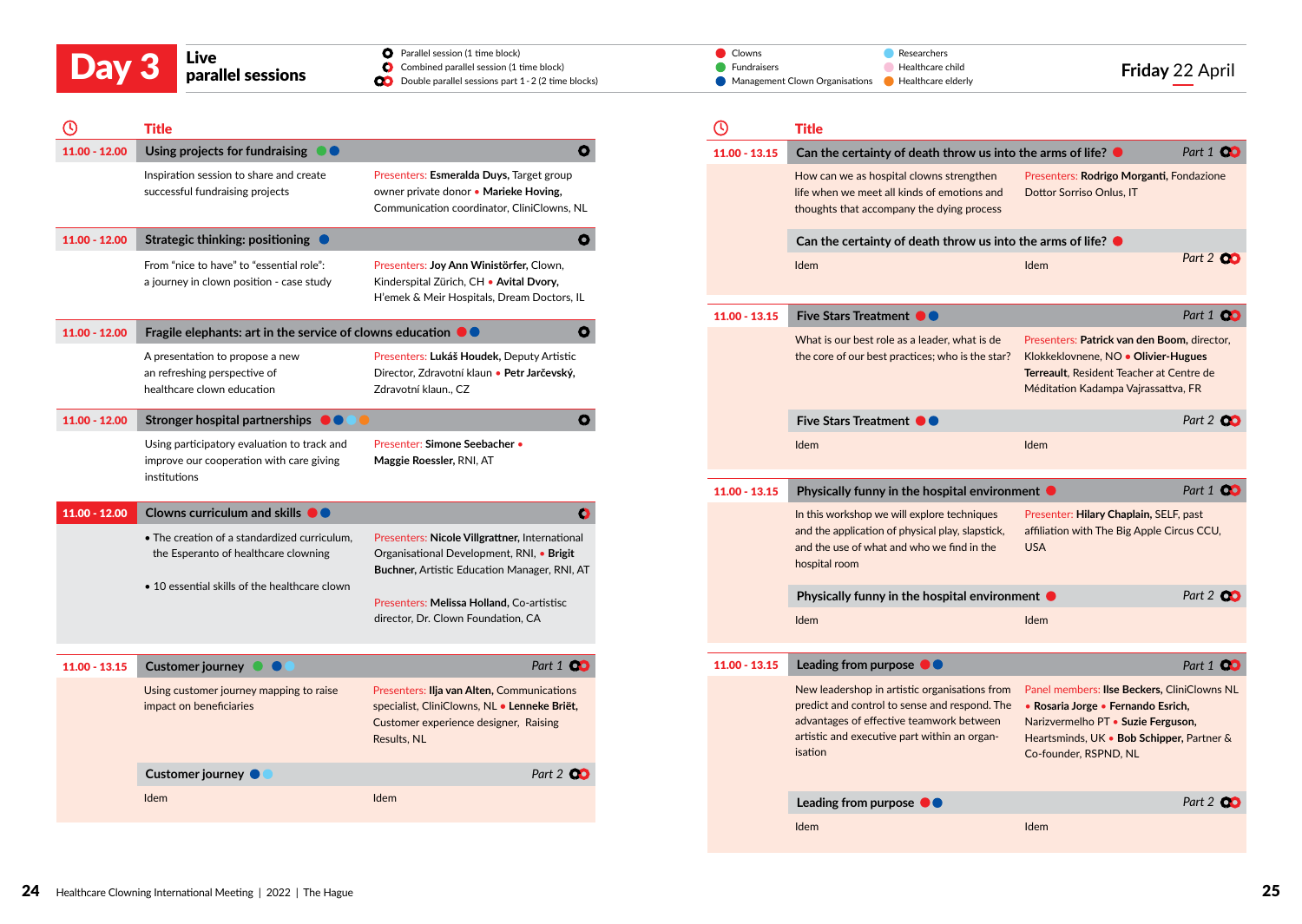| Day 3 | Live<br>parallel sessions | <b>O</b> Parallel session (1 time block)<br>Combined parallel session (1 time block)<br><b>CO</b> Double parallel sessions part 1 - 2 (2 time blocks) | Clowns<br>Fundraisers                                 | Researchers<br>Healthcare child | Friday 22 April |
|-------|---------------------------|-------------------------------------------------------------------------------------------------------------------------------------------------------|-------------------------------------------------------|---------------------------------|-----------------|
|       |                           |                                                                                                                                                       | • Management Clown Organisations • Healthcare elderly |                                 |                 |

|                 | <b>Title</b>                                                                                                                                                                 |                                                                                                                                                          | (၂              | <b>Title</b>                                                                                                                                                                                          |                                                                                                                                                                                      |        |
|-----------------|------------------------------------------------------------------------------------------------------------------------------------------------------------------------------|----------------------------------------------------------------------------------------------------------------------------------------------------------|-----------------|-------------------------------------------------------------------------------------------------------------------------------------------------------------------------------------------------------|--------------------------------------------------------------------------------------------------------------------------------------------------------------------------------------|--------|
| 11.00 - 12.00   | Using projects for fundraising $\bullet\bullet$                                                                                                                              | $\mathbf{o}$                                                                                                                                             | $11.00 - 13.15$ | Can the certainty of death throw us into the arms of life? $\bullet$                                                                                                                                  |                                                                                                                                                                                      | Part 1 |
|                 | Inspiration session to share and create<br>successful fundraising projects                                                                                                   | Presenters: Esmeralda Duys, Target group<br>owner private donor . Marieke Hoving,<br>Communication coordinator, CliniClowns, NL                          |                 | How can we as hospital clowns strengthen<br>life when we meet all kinds of emotions and<br>thoughts that accompany the dying process                                                                  | Presenters: Rodrigo Morganti, Fondazio<br>Dottor Sorriso Onlus, IT                                                                                                                   |        |
| 11.00 - 12.00   | Strategic thinking: positioning                                                                                                                                              | $\mathbf{o}$                                                                                                                                             |                 | Can the certainty of death throw us into the arms of life? $\bullet$                                                                                                                                  |                                                                                                                                                                                      |        |
|                 | From "nice to have" to "essential role":<br>a journey in clown position - case study                                                                                         | Presenters: Joy Ann Winistörfer, Clown,<br>Kinderspital Zürich, CH · Avital Dvory,<br>H'emek & Meir Hospitals, Dream Doctors, IL                         |                 | <b>Idem</b>                                                                                                                                                                                           | <b>Idem</b>                                                                                                                                                                          | Part 2 |
|                 |                                                                                                                                                                              |                                                                                                                                                          | $11.00 - 13.15$ | <b>Five Stars Treatment OO</b>                                                                                                                                                                        |                                                                                                                                                                                      | Part 1 |
| $11.00 - 12.00$ | Fragile elephants: art in the service of clowns education $\bullet \bullet$<br>A presentation to propose a new<br>an refreshing perspective of<br>healthcare clown education | $\mathbf{o}$<br>Presenters: Lukáš Houdek, Deputy Artistic<br>Director, Zdravotní klaun · Petr Jarčevský,<br>Zdravotní klaun., CZ                         |                 | What is our best role as a leader, what is de<br>the core of our best practices; who is the star?                                                                                                     | Presenters: Patrick van den Boom, dired<br>Klokkeklovnene, NO · Olivier-Hugues<br>Terreault, Resident Teacher at Centre de<br>Méditation Kadampa Vajrassattva, FR                    |        |
| $11.00 - 12.00$ | Stronger hospital partnerships $\bullet\bullet$                                                                                                                              | $\bullet$                                                                                                                                                |                 | <b>Five Stars Treatment ●●</b>                                                                                                                                                                        |                                                                                                                                                                                      | Part 2 |
|                 | Using participatory evaluation to track and<br>improve our cooperation with care giving<br>institutions                                                                      | Presenter: Simone Seebacher •<br>Maggie Roessler, RNI, AT                                                                                                |                 | Idem                                                                                                                                                                                                  | Idem                                                                                                                                                                                 |        |
|                 |                                                                                                                                                                              |                                                                                                                                                          | $11.00 - 13.15$ | Physically funny in the hospital environment ●                                                                                                                                                        |                                                                                                                                                                                      | Part 1 |
| $11.00 - 12.00$ | Clowns curriculum and skills $\bullet \bullet$<br>. The creation of a standardized curriculum,<br>the Esperanto of healthcare clowning                                       | $\bullet$<br>Presenters: Nicole Villgrattner, International<br>Organisational Development, RNI, • Brigit<br>Buchner, Artistic Education Manager, RNI, AT |                 | In this workshop we will explore techniques<br>and the application of physical play, slapstick,<br>and the use of what and who we find in the<br>hospital room                                        | Presenter: Hilary Chaplain, SELF, past<br>affiliation with The Big Apple Circus CC<br><b>USA</b>                                                                                     |        |
|                 | • 10 essential skills of the healthcare clown                                                                                                                                | Presenters: Melissa Holland, Co-artistisc                                                                                                                |                 | Physically funny in the hospital environment ●                                                                                                                                                        |                                                                                                                                                                                      | Part 2 |
|                 |                                                                                                                                                                              | director, Dr. Clown Foundation, CA                                                                                                                       |                 | Idem                                                                                                                                                                                                  | Idem                                                                                                                                                                                 |        |
| $11.00 - 13.15$ | Customer journey $\bullet$ $\bullet$                                                                                                                                         | Part 1 00                                                                                                                                                | $11.00 - 13.15$ | Leading from purpose $\bullet \bullet$                                                                                                                                                                |                                                                                                                                                                                      | Part 1 |
|                 | Using customer journey mapping to raise<br>impact on beneficiaries                                                                                                           | Presenters: Ilja van Alten, Communications<br>specialist, CliniClowns, NL . Lenneke Briët,<br>Customer experience designer, Raising<br>Results, NL       |                 | New leadershop in artistic organisations from<br>predict and control to sense and respond. The<br>advantages of effective teamwork between<br>artistic and executive part within an organ-<br>isation | Panel members: Ilse Beckers, CliniClow<br>• Rosaria Jorge • Fernando Esrich,<br>Narizvermelho PT · Suzie Ferguson,<br>Heartsminds, UK . Bob Schipper, Partn<br>Co-founder, RSPND, NL |        |
|                 | Customer journey •                                                                                                                                                           | Part 2 <b>00</b>                                                                                                                                         |                 |                                                                                                                                                                                                       |                                                                                                                                                                                      |        |
|                 | Idem                                                                                                                                                                         | Idem                                                                                                                                                     |                 | Leading from purpose $\bullet$                                                                                                                                                                        |                                                                                                                                                                                      | Part 2 |
|                 |                                                                                                                                                                              |                                                                                                                                                          |                 |                                                                                                                                                                                                       |                                                                                                                                                                                      |        |

|                 | <b>Title</b>                                                                                                                                                                                          |                                                                                                                                                                                               |                  |  |  |  |
|-----------------|-------------------------------------------------------------------------------------------------------------------------------------------------------------------------------------------------------|-----------------------------------------------------------------------------------------------------------------------------------------------------------------------------------------------|------------------|--|--|--|
| $11.00 - 13.15$ | Can the certainty of death throw us into the arms of life? $\bullet$                                                                                                                                  |                                                                                                                                                                                               | Part 1 00        |  |  |  |
|                 | How can we as hospital clowns strengthen<br>life when we meet all kinds of emotions and<br>thoughts that accompany the dying process                                                                  | Presenters: Rodrigo Morganti, Fondazione<br>Dottor Sorriso Onlus, IT                                                                                                                          |                  |  |  |  |
|                 |                                                                                                                                                                                                       | Can the certainty of death throw us into the arms of life? $\bullet$                                                                                                                          |                  |  |  |  |
|                 | Idem                                                                                                                                                                                                  | Idem                                                                                                                                                                                          | Part 2 00        |  |  |  |
| $11.00 - 13.15$ | Five Stars Treatment <sup>O</sup>                                                                                                                                                                     |                                                                                                                                                                                               | Part 1 00        |  |  |  |
|                 | What is our best role as a leader, what is de<br>the core of our best practices; who is the star?                                                                                                     | Presenters: Patrick van den Boom, director,<br>Klokkeklovnene, NO · Olivier-Hugues<br>Terreault, Resident Teacher at Centre de<br>Méditation Kadampa Vajrassattva, FR                         |                  |  |  |  |
|                 | Five Stars Treatment <b>O</b>                                                                                                                                                                         |                                                                                                                                                                                               | Part 2 <b>00</b> |  |  |  |
|                 | Idem                                                                                                                                                                                                  | Idem                                                                                                                                                                                          |                  |  |  |  |
|                 |                                                                                                                                                                                                       |                                                                                                                                                                                               |                  |  |  |  |
| $11.00 - 13.15$ | Physically funny in the hospital environment ●                                                                                                                                                        |                                                                                                                                                                                               | Part 1 00        |  |  |  |
|                 | In this workshop we will explore techniques<br>and the application of physical play, slapstick,<br>and the use of what and who we find in the<br>hospital room                                        | Presenter: Hilary Chaplain, SELF, past<br>affiliation with The Big Apple Circus CCU,<br><b>USA</b>                                                                                            |                  |  |  |  |
|                 | Physically funny in the hospital environment $\bullet$                                                                                                                                                |                                                                                                                                                                                               | Part 2 00        |  |  |  |
|                 | Idem                                                                                                                                                                                                  | <b>Idem</b>                                                                                                                                                                                   |                  |  |  |  |
| $11.00 - 13.15$ | Leading from purpose $\bullet \bullet$                                                                                                                                                                |                                                                                                                                                                                               | Part 1 <b>QO</b> |  |  |  |
|                 | New leadershop in artistic organisations from<br>predict and control to sense and respond. The<br>advantages of effective teamwork between<br>artistic and executive part within an organ-<br>isation | Panel members: Ilse Beckers, CliniClowns NL<br>• Rosaria Jorge • Fernando Esrich,<br>Narizvermelho PT • Suzie Ferguson,<br>Heartsminds, UK • Bob Schipper, Partner &<br>Co-founder, RSPND, NL |                  |  |  |  |
|                 | Leading from purpose $\theta$                                                                                                                                                                         |                                                                                                                                                                                               | Part 2 QC        |  |  |  |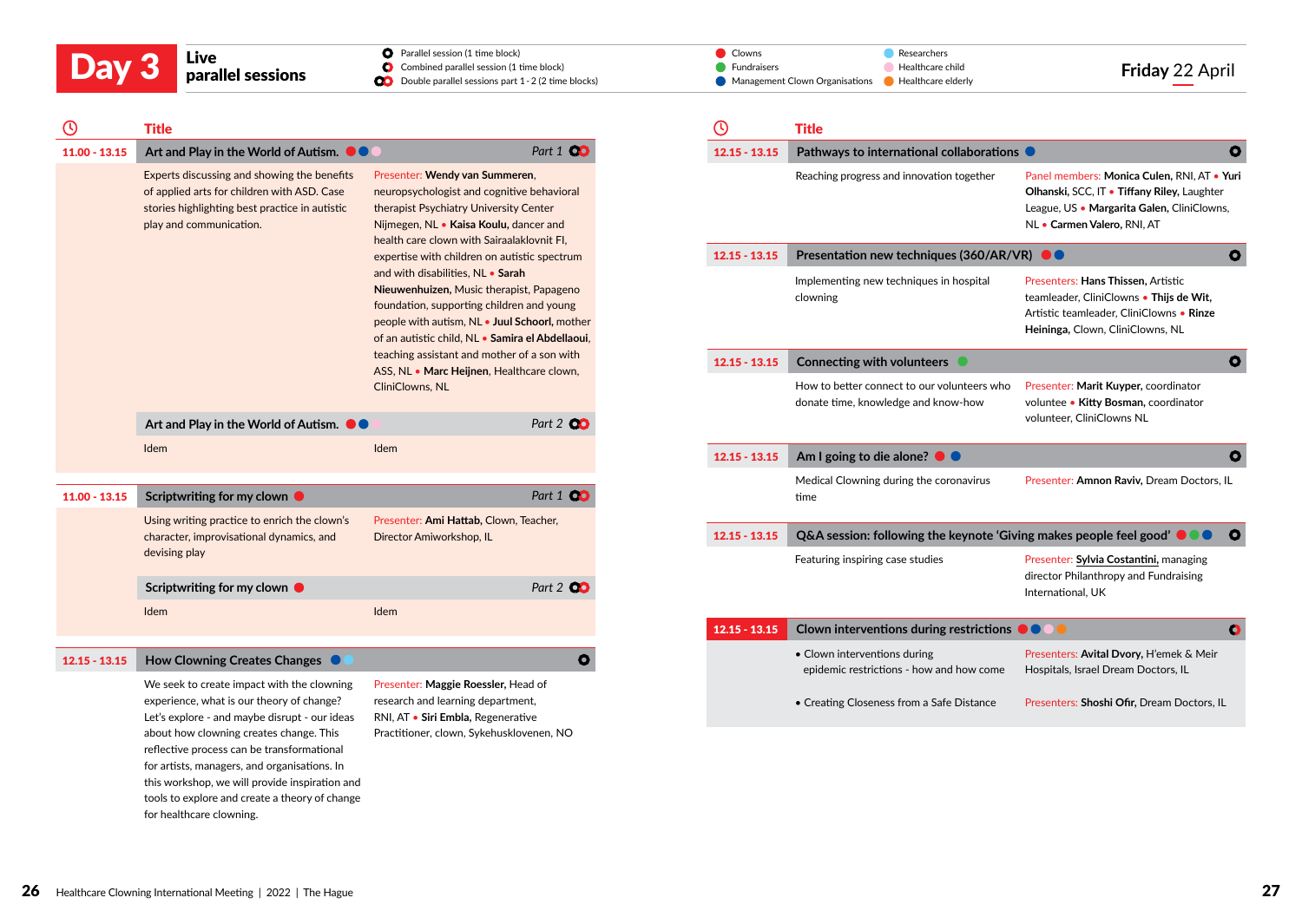Parallel session (1 time block)

 $\bullet$ 

| (۱)             | <b>Title</b>                                                                                                                                                            |                                                                                                                                                                                                                                 |                  |
|-----------------|-------------------------------------------------------------------------------------------------------------------------------------------------------------------------|---------------------------------------------------------------------------------------------------------------------------------------------------------------------------------------------------------------------------------|------------------|
| $11.00 - 13.15$ | Art and Play in the World of Autism. <b>OC</b>                                                                                                                          |                                                                                                                                                                                                                                 | Part 1 00        |
|                 | Experts discussing and showing the benefits<br>of applied arts for children with ASD. Case<br>stories highlighting best practice in autistic<br>play and communication. | Presenter: Wendy van Summeren,<br>neuropsychologist and cognitive behavioral<br>therapist Psychiatry University Center<br>Nijmegen, NL • Kaisa Koulu, dancer and<br>health care clown with Sairaalaklovnit FI,                  |                  |
|                 |                                                                                                                                                                         | expertise with children on autistic spectrum                                                                                                                                                                                    |                  |
|                 |                                                                                                                                                                         | and with disabilities, NL • Sarah<br>Nieuwenhuizen, Music therapist, Papageno<br>foundation, supporting children and young<br>people with autism, NL . Juul Schoorl, mother<br>of an autistic child, NL . Samira el Abdellaoui, |                  |
|                 |                                                                                                                                                                         | teaching assistant and mother of a son with<br>ASS, NL • Marc Heijnen, Healthcare clown,                                                                                                                                        |                  |
|                 |                                                                                                                                                                         | CliniClowns, NL                                                                                                                                                                                                                 |                  |
|                 | Art and Play in the World of Autism. $\bullet \bullet$                                                                                                                  |                                                                                                                                                                                                                                 | Part 2 00        |
|                 | Idem                                                                                                                                                                    | Idem                                                                                                                                                                                                                            |                  |
|                 |                                                                                                                                                                         |                                                                                                                                                                                                                                 |                  |
| $11.00 - 13.15$ | Scriptwriting for my clown $\bullet$                                                                                                                                    |                                                                                                                                                                                                                                 | Part 1 <b>QC</b> |
|                 | Using writing practice to enrich the clown's<br>character, improvisational dynamics, and                                                                                | Presenter: Ami Hattab, Clown, Teacher,<br>Director Amiworkshop, IL                                                                                                                                                              |                  |
|                 | devising play                                                                                                                                                           |                                                                                                                                                                                                                                 |                  |
|                 | Scriptwriting for my clown $\bullet$                                                                                                                                    |                                                                                                                                                                                                                                 | Part 2 00        |
|                 | Idem                                                                                                                                                                    | Idem                                                                                                                                                                                                                            |                  |
|                 |                                                                                                                                                                         |                                                                                                                                                                                                                                 |                  |

#### 12.15 - 13.15 **How Clowning Creates Changes**

We seek to create impact with the clowning experience, what is our theory of change? Let's explore - and maybe disrupt - our ideas about how clowning creates change. This reflective process can be transformational for artists, managers, and organisations. In this workshop, we will provide inspiration and tools to explore and create a theory of change for healthcare clowning.

Presenter: **Maggie Roessler,** Head of research and learning department, RNI, AT • **Siri Embla,** Regenerative Practitioner, clown, Sykehusklovenen, NO

| Day 3 | Live              | <b>O</b> Parallel session (1 time block)                      | <b>⊿</b> Clowns                                            | Researchers                         |
|-------|-------------------|---------------------------------------------------------------|------------------------------------------------------------|-------------------------------------|
|       | parallel sessions | Combined parallel session (1 time block)                      | Fundraisers                                                | Friday 22 April<br>Healthcare child |
|       |                   | <b>OD</b> Double parallel sessions part 1 - 2 (2 time blocks) | Management Clown Organisations <b>C</b> Healthcare elderly |                                     |

|                 | Title                                                                              |                                                                                                                                                                         |  |
|-----------------|------------------------------------------------------------------------------------|-------------------------------------------------------------------------------------------------------------------------------------------------------------------------|--|
| $12.15 - 13.15$ | Pathways to international collaborations                                           |                                                                                                                                                                         |  |
|                 | Reaching progress and innovation together                                          | Panel members: Monica Culen, RNI, AT . Yuri<br>Olhanski, SCC, IT . Tiffany Riley, Laughter<br>League, US · Margarita Galen, CliniClowns,<br>NL • Carmen Valero, RNI, AT |  |
| $12.15 - 13.15$ | Presentation new techniques (360/AR/VR)                                            |                                                                                                                                                                         |  |
|                 | Implementing new techniques in hospital<br>clowning                                | Presenters: Hans Thissen, Artistic<br>teamleader, CliniClowns • Thijs de Wit,<br>Artistic teamleader, CliniClowns . Rinze<br>Heininga, Clown, CliniClowns, NL           |  |
| $12.15 - 13.15$ | Connecting with volunteers •                                                       |                                                                                                                                                                         |  |
|                 | How to better connect to our volunteers who<br>donate time, knowledge and know-how | Presenter: Marit Kuyper, coordinator<br>voluntee • Kitty Bosman, coordinator<br>volunteer, CliniClowns NL                                                               |  |
| $12.15 - 13.15$ | Am I going to die alone? $\bullet$ $\bullet$                                       |                                                                                                                                                                         |  |
|                 | Medical Clowning during the coronavirus<br>time                                    | Presenter: Amnon Raviv, Dream Doctors, IL                                                                                                                               |  |
| $12.15 - 13.15$ | Q&A session: following the keynote 'Giving makes people feel good'                 |                                                                                                                                                                         |  |
|                 | Featuring inspiring case studies                                                   | Presenter: Sylvia Costantini, managing<br>director Philanthropy and Fundraising<br>International, UK                                                                    |  |
| $12.15 - 13.15$ | Clown interventions during restrictions                                            |                                                                                                                                                                         |  |
|                 | • Clown interventions during<br>epidemic restrictions - how and how come           | Presenters: Avital Dvory, H'emek & Meir<br>Hospitals, Israel Dream Doctors, IL                                                                                          |  |
|                 | • Creating Closeness from a Safe Distance                                          | Presenters: Shoshi Ofir, Dream Doctors, IL                                                                                                                              |  |